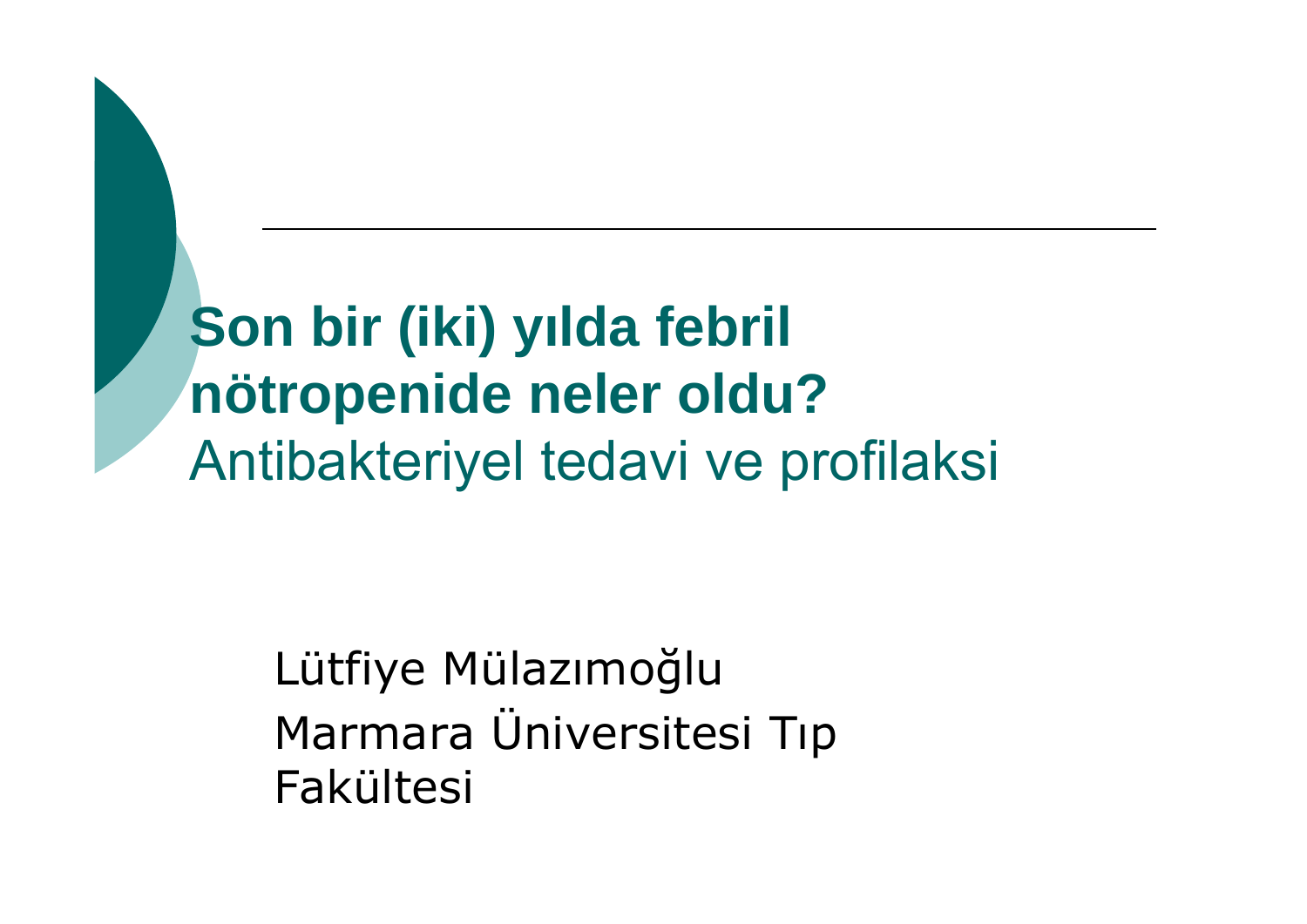**Son bir (iki) y ılda febril nötropenide neler oldu?** Antibakteriyel tedavi ve profilaksi

> Lütfiye Mülazımo ğlu Marmara Üniversitesi Tıp Fakültesi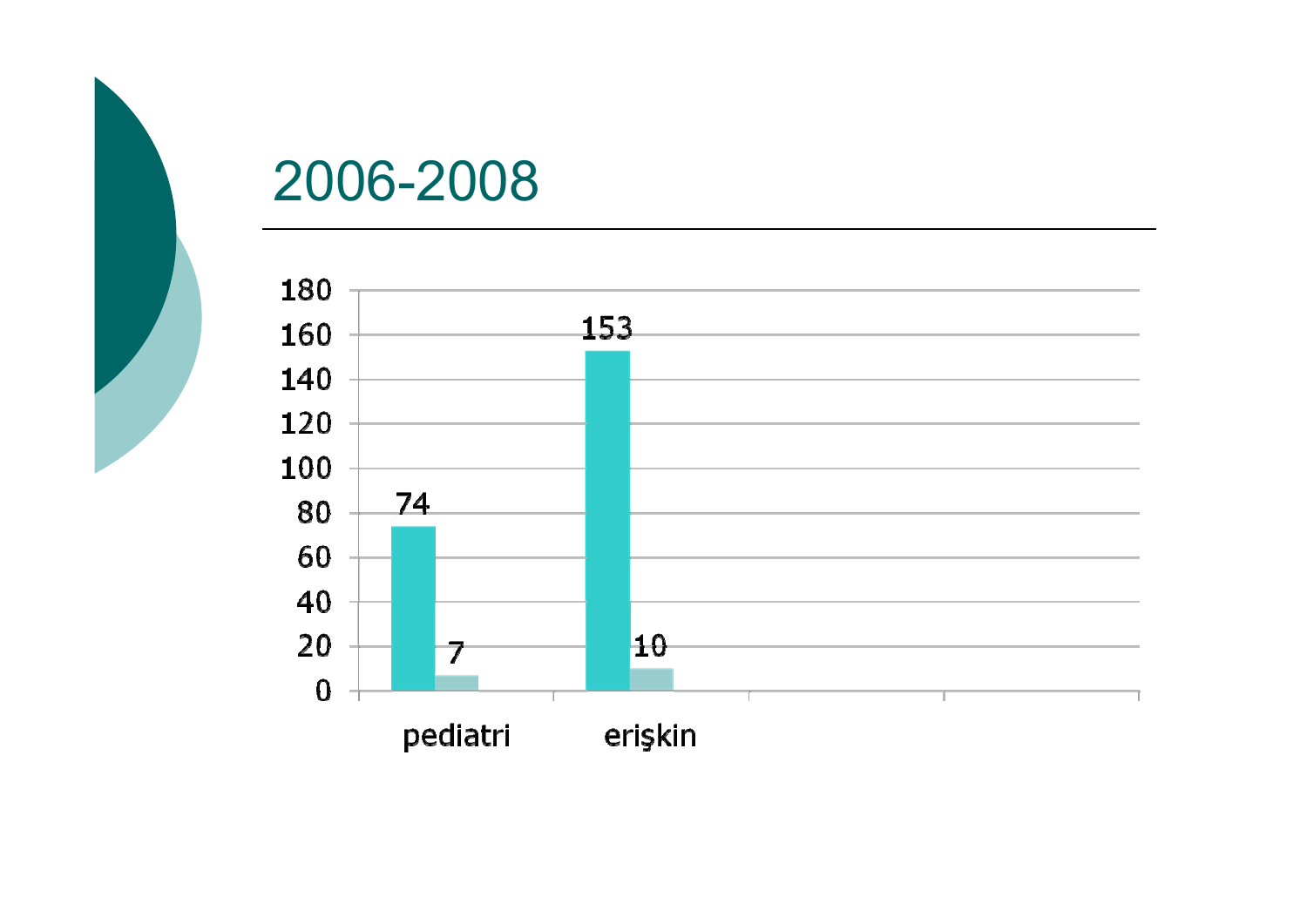

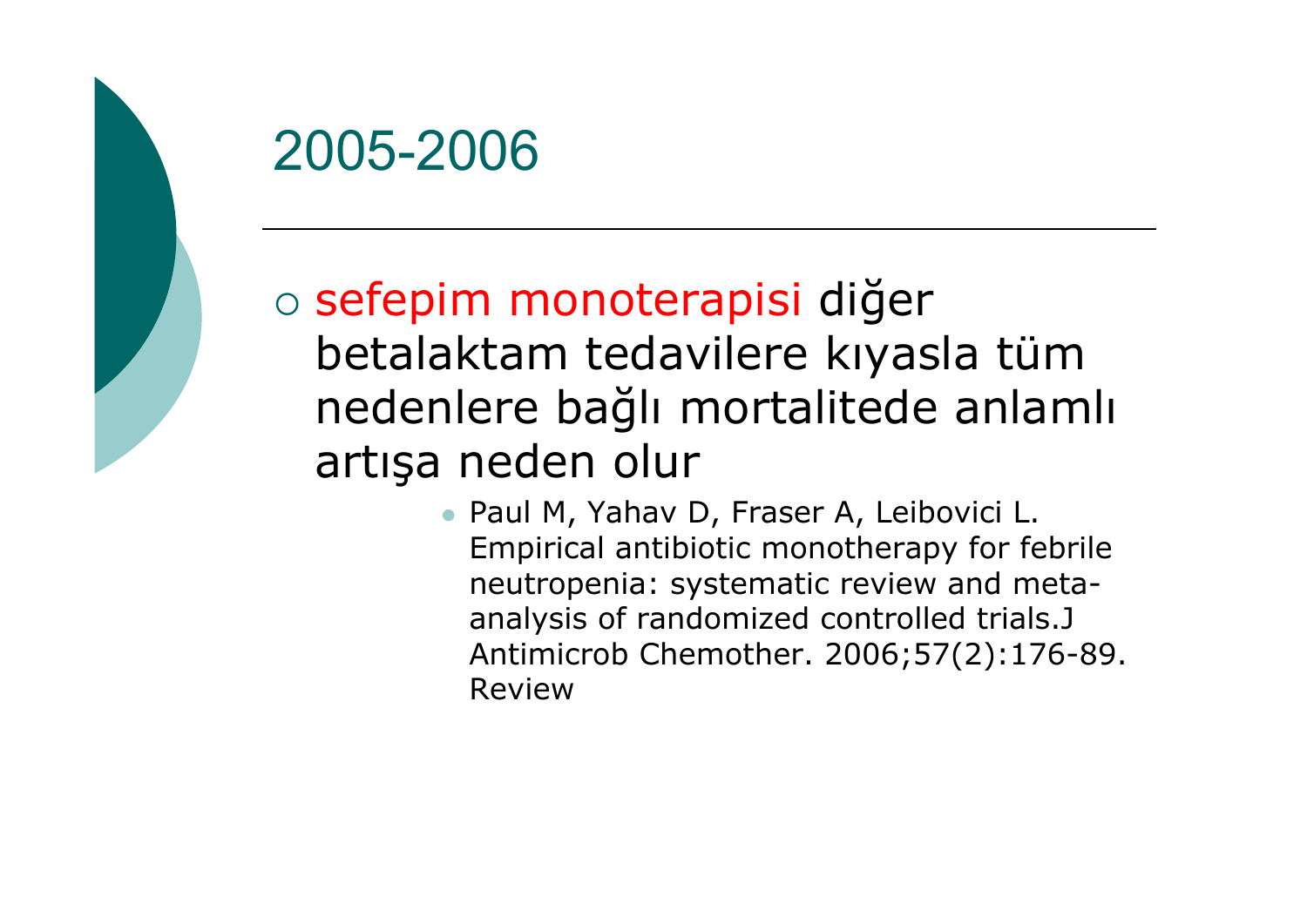

o sefepim monoterapisi diğer betalaktam tedavilere kıyasla tüm nedenlere bağlı mortalitede anlamlı artışa neden olur

> • Paul M, Yahav D, Fraser A, Leibovici L. Empirical antibiotic monotherapy for febrile neutropenia: systematic review and metaanalysis of randomized controlled trials.J Antimicrob Chemother. 2006;57(2):176-89. Review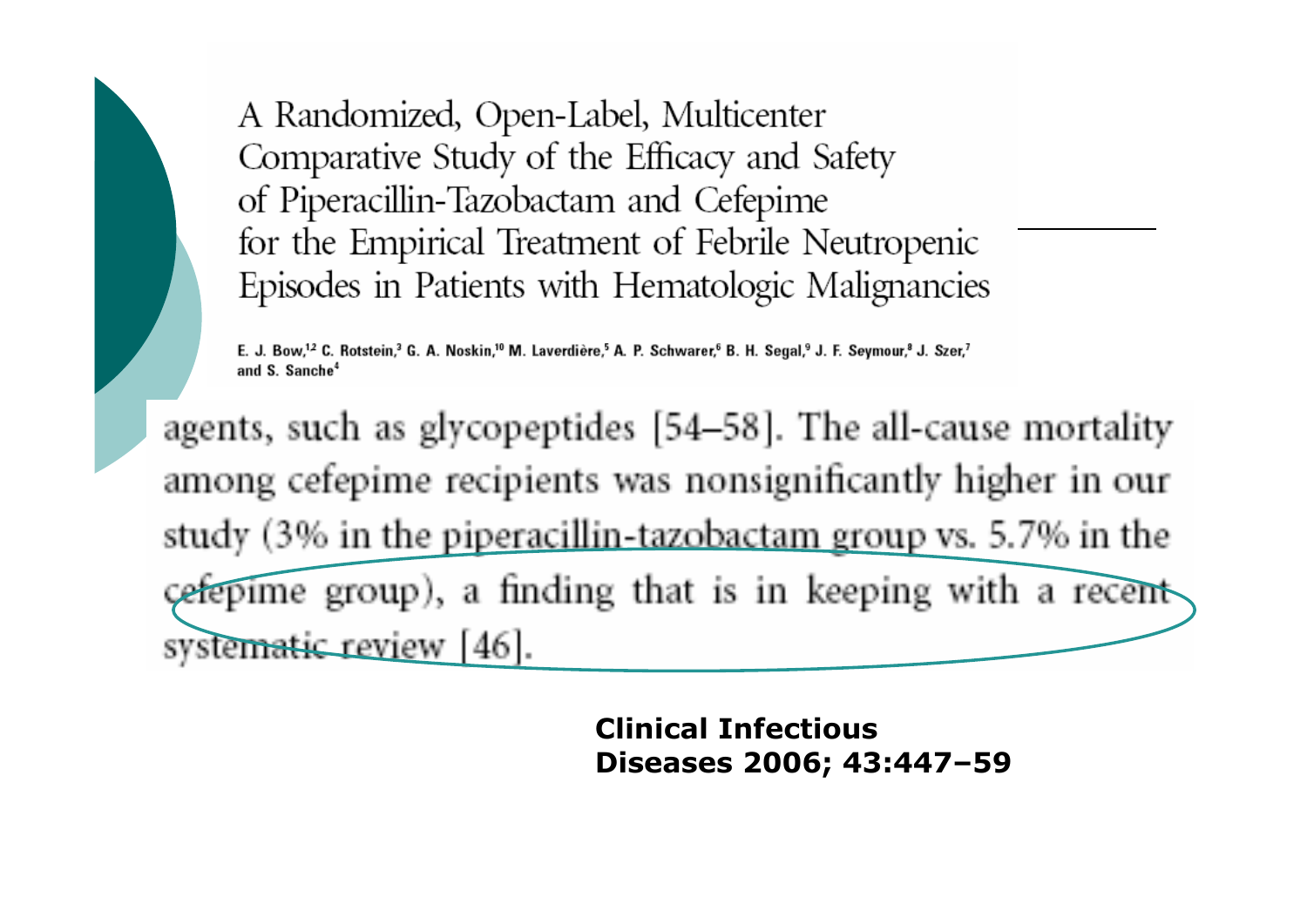A Randomized, Open-Label, Multicenter Comparative Study of the Efficacy and Safety of Piperacillin-Tazobactam and Cefepime for the Empirical Treatment of Febrile Neutropenic Episodes in Patients with Hematologic Malignancies

E. J. Bow,<sup>12</sup> C. Rotstein,<sup>3</sup> G. A. Noskin,<sup>10</sup> M. Laverdière,<sup>5</sup> A. P. Schwarer,<sup>6</sup> B. H. Segal,<sup>9</sup> J. F. Seymour,<sup>8</sup> J. Szer,<sup>7</sup> and S. Sanche<sup>4</sup>

agents, such as glycopeptides [54–58]. The all-cause mortality among cefepime recipients was nonsignificantly higher in our study (3% in the piperacillin-tazobactam group vs. 5.7% in the cefepime group), a finding that is in keeping with a recentsystematic review [46].

> **Clinical Infectious Diseases 2006; 43:447–59**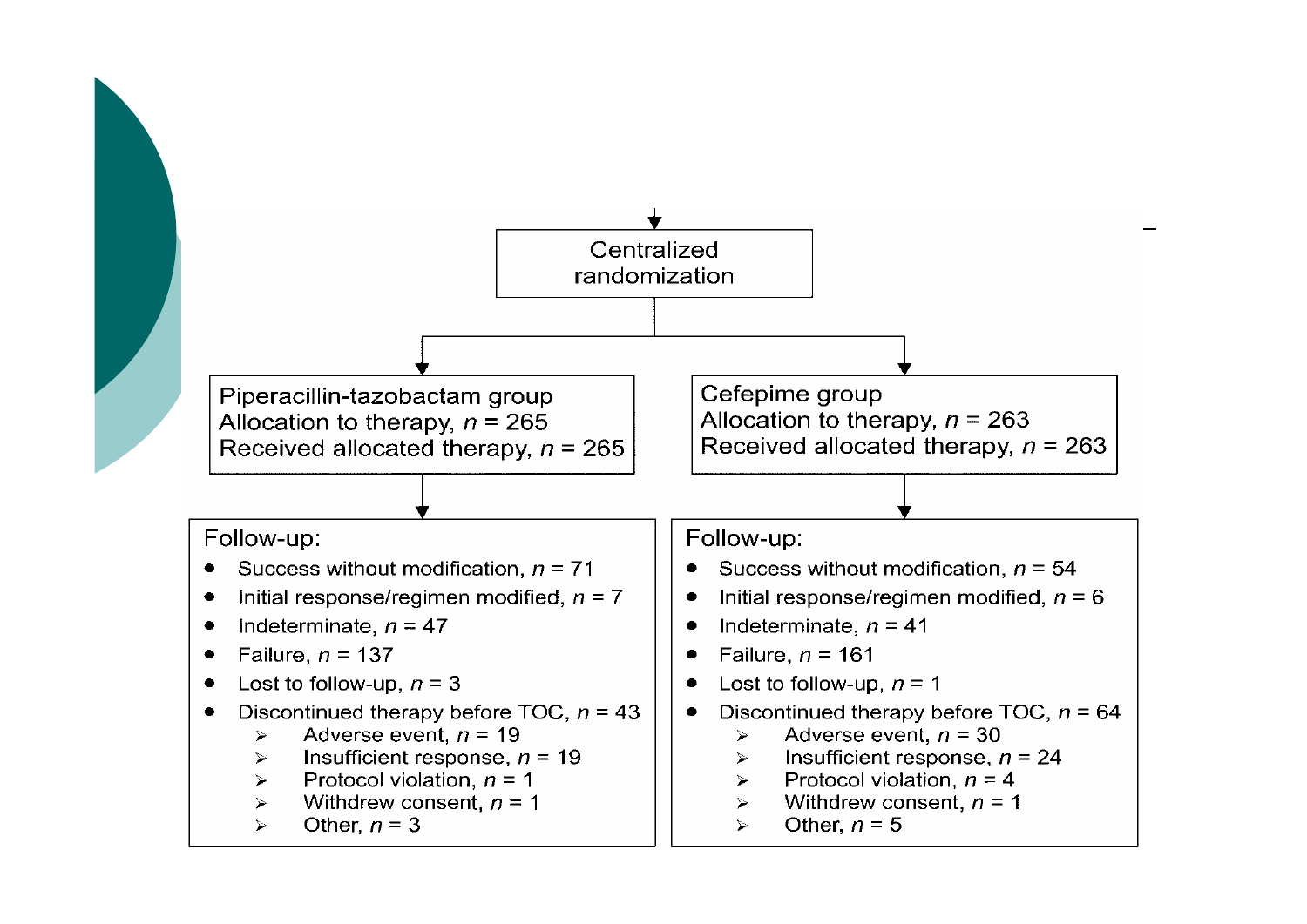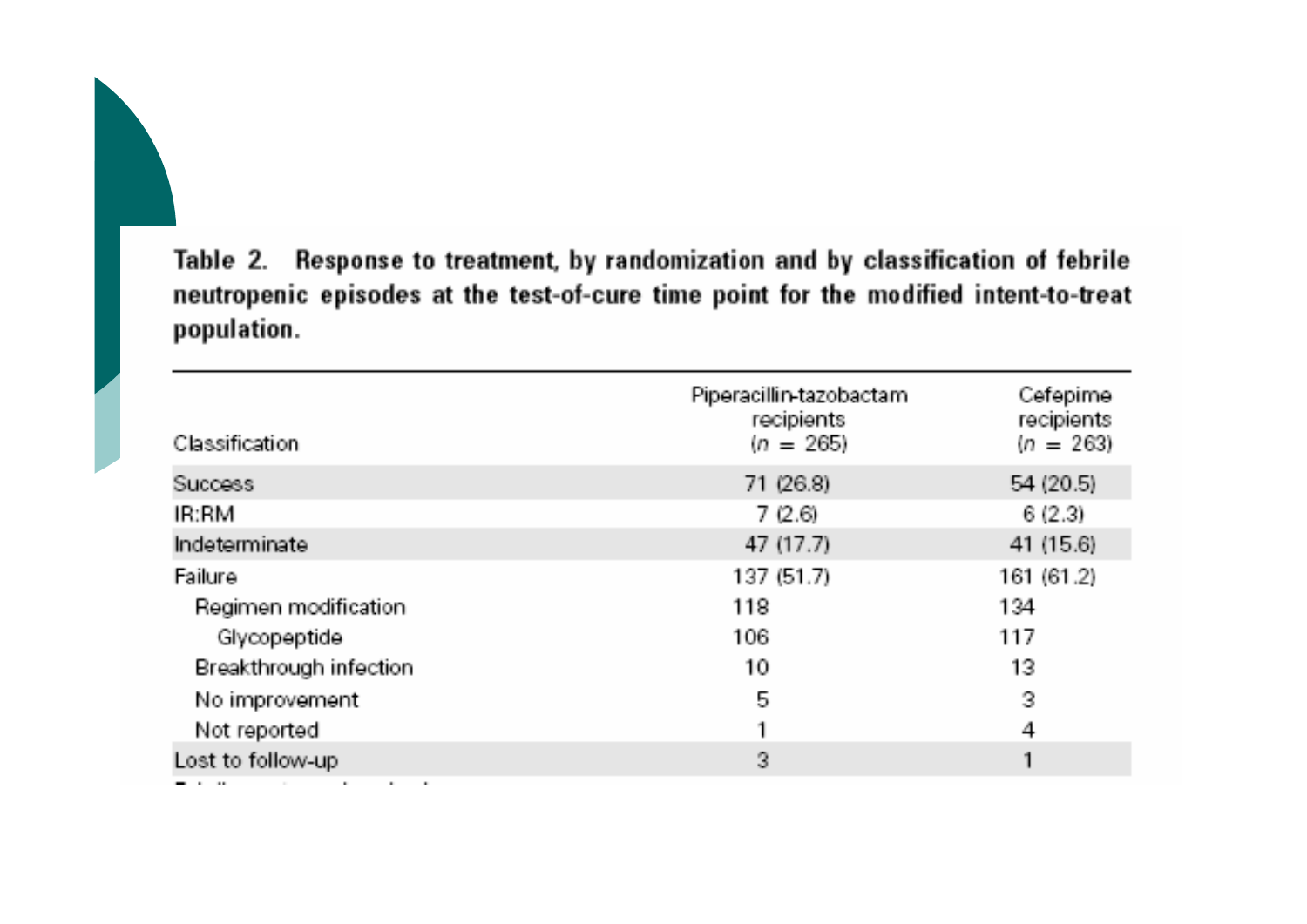Table 2. Response to treatment, by randomization and by classification of febrile neutropenic episodes at the test-of-cure time point for the modified intent-to-treat population.

| <b>Classification</b>  | Piperacillin-tazobactam<br>recipients<br>$(n = 265)$ | Cefepime<br>recipients<br>$(n = 263)$ |
|------------------------|------------------------------------------------------|---------------------------------------|
| <b>Success</b>         | 71 (26.8)                                            | 54(20.5)                              |
| IR:RM                  | 7(2.6)                                               | 6(2.3)                                |
| Indeterminate          | 47 (17.7)                                            | 41 (15.6)                             |
| Failure                | 137(51.7)                                            | 161 (61.2)                            |
| Regimen modification   | 118                                                  | 134                                   |
| Glycopeptide           | 106                                                  | 117                                   |
| Breakthrough infection | 10                                                   | 13                                    |
| No improvement         | 5                                                    | 3                                     |
| Not reported           |                                                      | 4                                     |
| Lost to follow-up      | 3                                                    |                                       |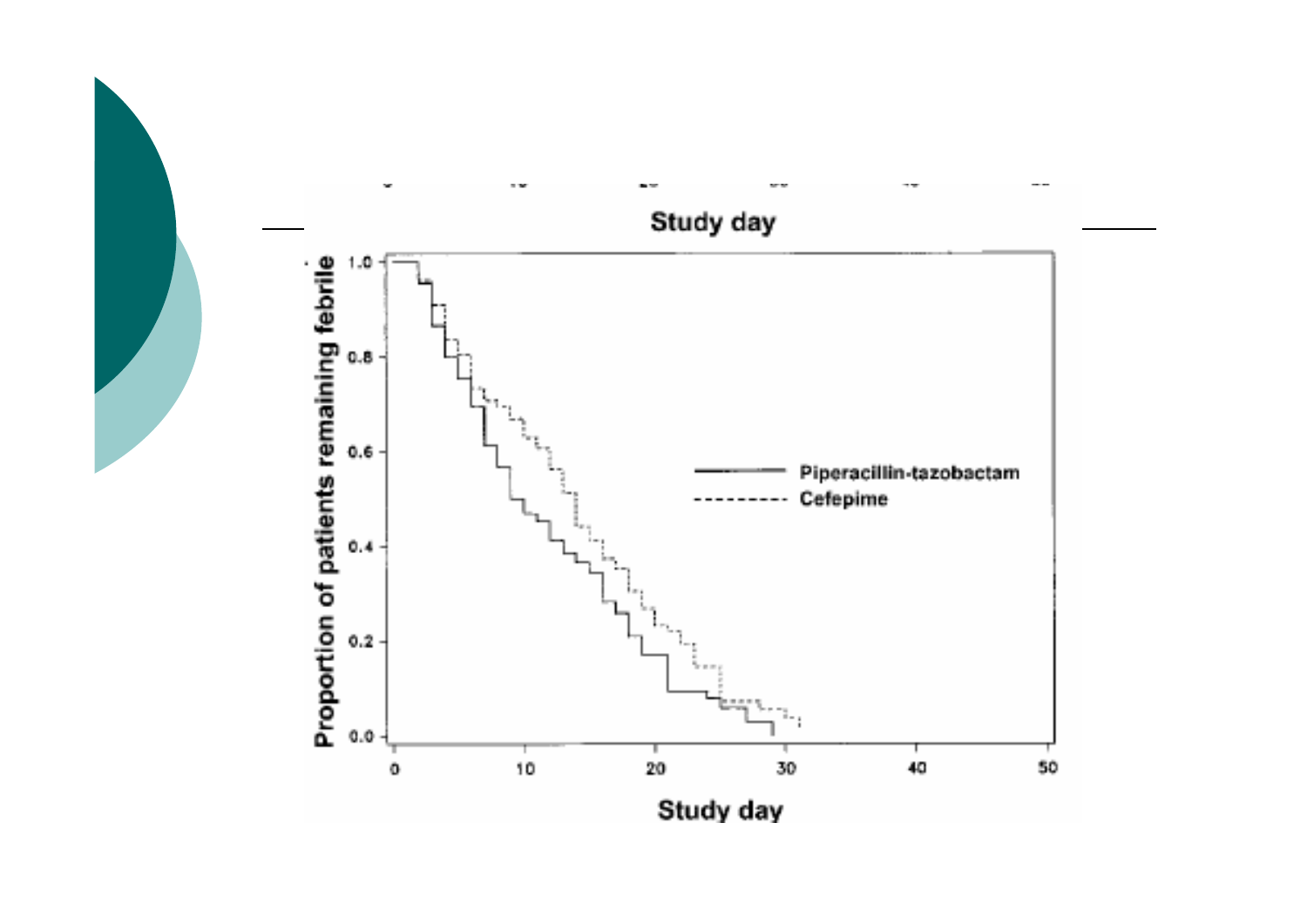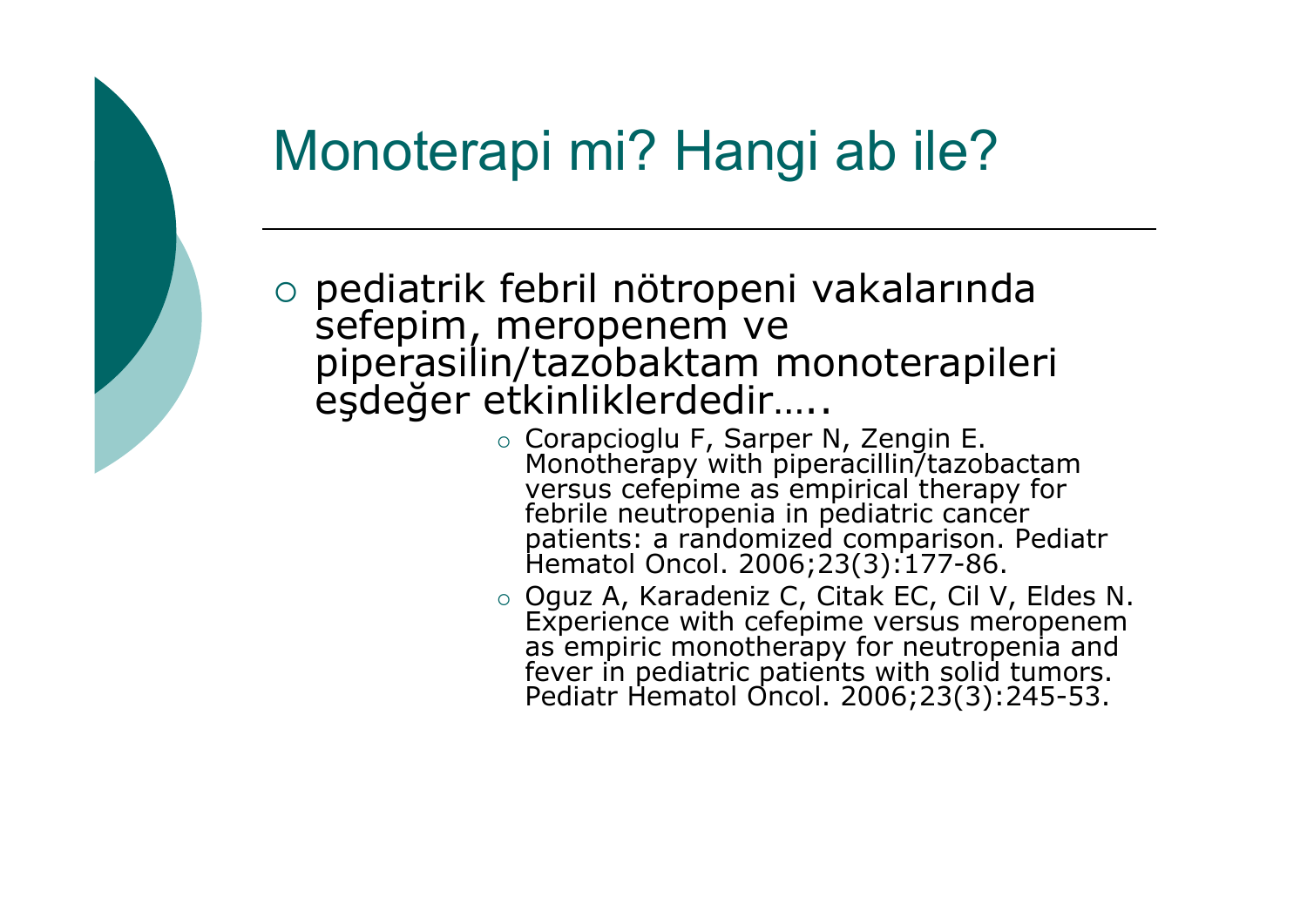## Monoterapi mi? Hangi ab ile?

 $\circ$  pediatrik febril nötropeni vakalarında sefepim, meropenem ve<br>piperasilin/tazobaktam monoterapileri e şde ğer etkinliklerdedir…..

- o Corapcioglu F, Sarper N, Zengin E. Monotherapy with piperacillin/tazobactam<br>versus cefepime as empirical therapy for febrile neutropenia in pediatric cancer<br>patients: a randomized comparison. Pediatr<br>Hematol Oncol. 2006;23(3):177-86.
- o Oguz A, Karadeniz C, Citak EC, Cil V, Eldes N. Experience with cefepime versus meropenem as empiric monotherapy for neutropenia and<br>fever in pediatric patients with solid tumors.<br>Pediatr Hematol Oncol. 2006;23(3):245-53.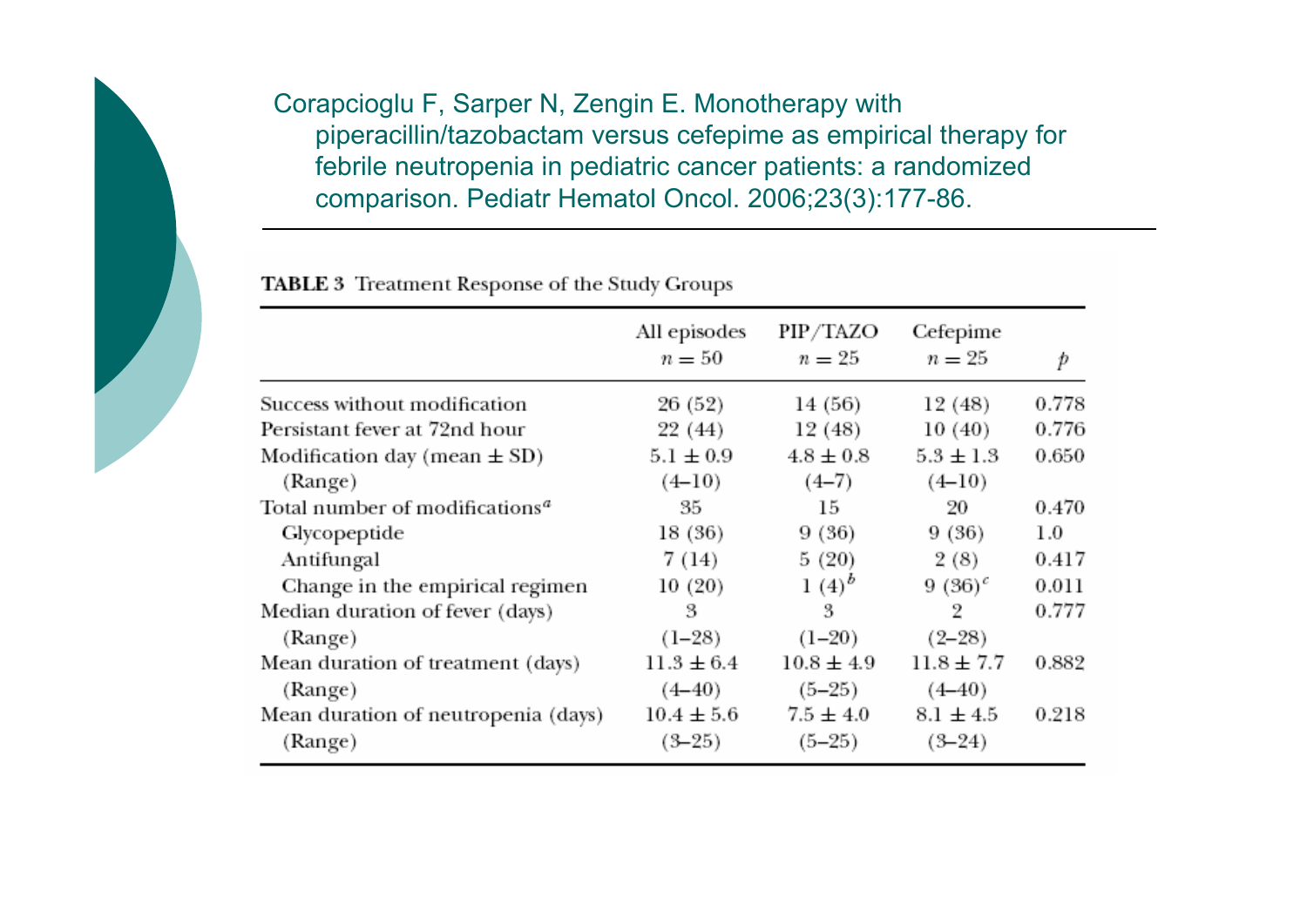Corapcioglu F, Sarper N, Zengin E. Monotherapy with piperacillin/tazobactam versus cefepime as empirical therapy for febrile neutropenia in pediatric cancer patients: a randomized comparison. Pediatr Hematol Oncol. 2006;23(3):177-86.

|                                                   | All episodes<br>$n = 50$     | PIP/TAZO<br>$n=25$        | Cefepime<br>$n=25$        | p       |
|---------------------------------------------------|------------------------------|---------------------------|---------------------------|---------|
| Success without modification                      | 26 (52)                      | 14 (56)                   | 12 (48)                   | 0.778   |
| Persistant fever at 72nd hour                     | 22 (44)                      | 12 (48)                   | 10(40)                    | 0.776   |
| Modification day (mean $\pm$ SD)                  | $5.1 \pm 0.9$                | $4.8 \pm 0.8$             | $5.3 \pm 1.3$             | 0.650   |
| (Range)                                           | $(4-10)$                     | $(4-7)$                   | $(4-10)$                  |         |
| Total number of modifications <sup><i>a</i></sup> | 35                           | 15                        | 20                        | 0.470   |
| Glycopeptide                                      | 18 (36)                      | 9(36)                     | 9(36)                     | $1.0\,$ |
| Antifungal                                        | 7 (14)                       | 5(20)                     | 2(8)                      | 0.417   |
| Change in the empirical regimen                   | 10 (20)                      | $1(4)^{b}$                | 9 (36) <sup>c</sup>       | 0.011   |
| Median duration of fever (days)                   | 3                            | 3                         | $\overline{2}$            | 0.777   |
| (Range)                                           | $(1-28)$                     | $(1-20)$                  | $(2 - 28)$                |         |
| Mean duration of treatment (days)                 | $11.3 \pm 6.4$               | $10.8 \pm 4.9$            | $11.8 \pm 7.7$            | 0.882   |
| (Range)                                           | $(4 - 40)$                   | $(5-25)$                  | $(4 - 40)$                |         |
| Mean duration of neutropenia (days)<br>(Range)    | $10.4 \pm 5.6$<br>$(3 - 25)$ | $7.5 \pm 4.0$<br>$(5-25)$ | $8.1 \pm 4.5$<br>$(3-24)$ | 0.218   |

TABLE 3 Treatment Response of the Study Groups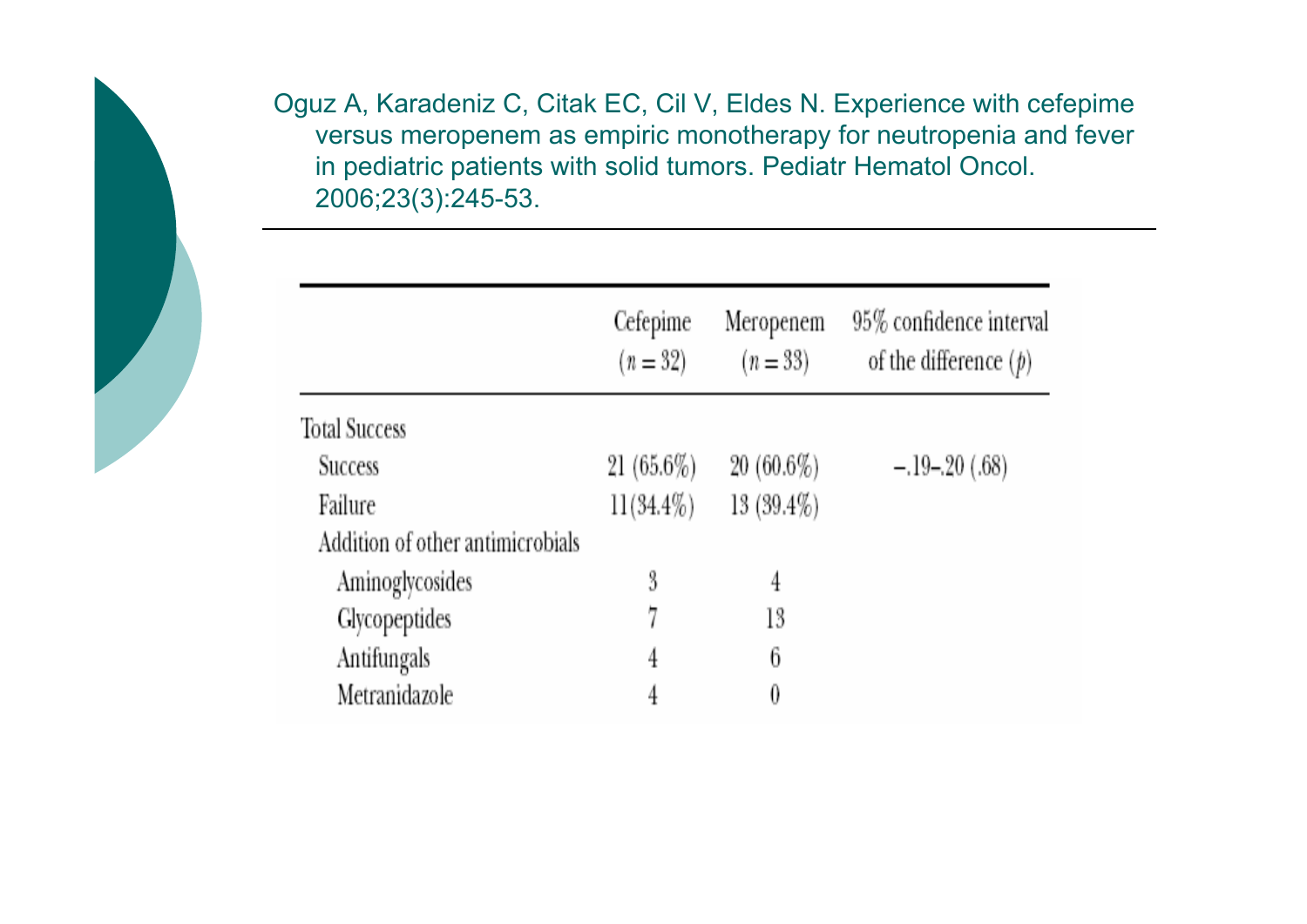Oguz A, Karadeniz C, Citak EC, Cil V, Eldes N. Experience with cefepime versus meropenem as empiric monotherapy for neutropenia and fever in pediatric patients with solid tumors. Pediatr Hematol Oncol. 2006;23(3):245-53.

|                                  | Cefepime<br>$(n = 32)$ | Meropenem<br>$(n = 33)$ | 95% confidence interval<br>of the difference $(p)$ |  |
|----------------------------------|------------------------|-------------------------|----------------------------------------------------|--|
| <b>Total Success</b>             |                        |                         |                                                    |  |
| <b>Success</b>                   | $21(65.6\%)$           | $20(60.6\%)$            | $-.19-.20(.68)$                                    |  |
| Failure                          | $11(34.4\%)$           | $13(39.4\%)$            |                                                    |  |
| Addition of other antimicrobials |                        |                         |                                                    |  |
| Aminoglycosides                  | 3                      | 4                       |                                                    |  |
| Glycopeptides                    |                        | 13                      |                                                    |  |
| Antifungals                      | 4                      | 6                       |                                                    |  |
| Metranidazole                    | 4                      | 0                       |                                                    |  |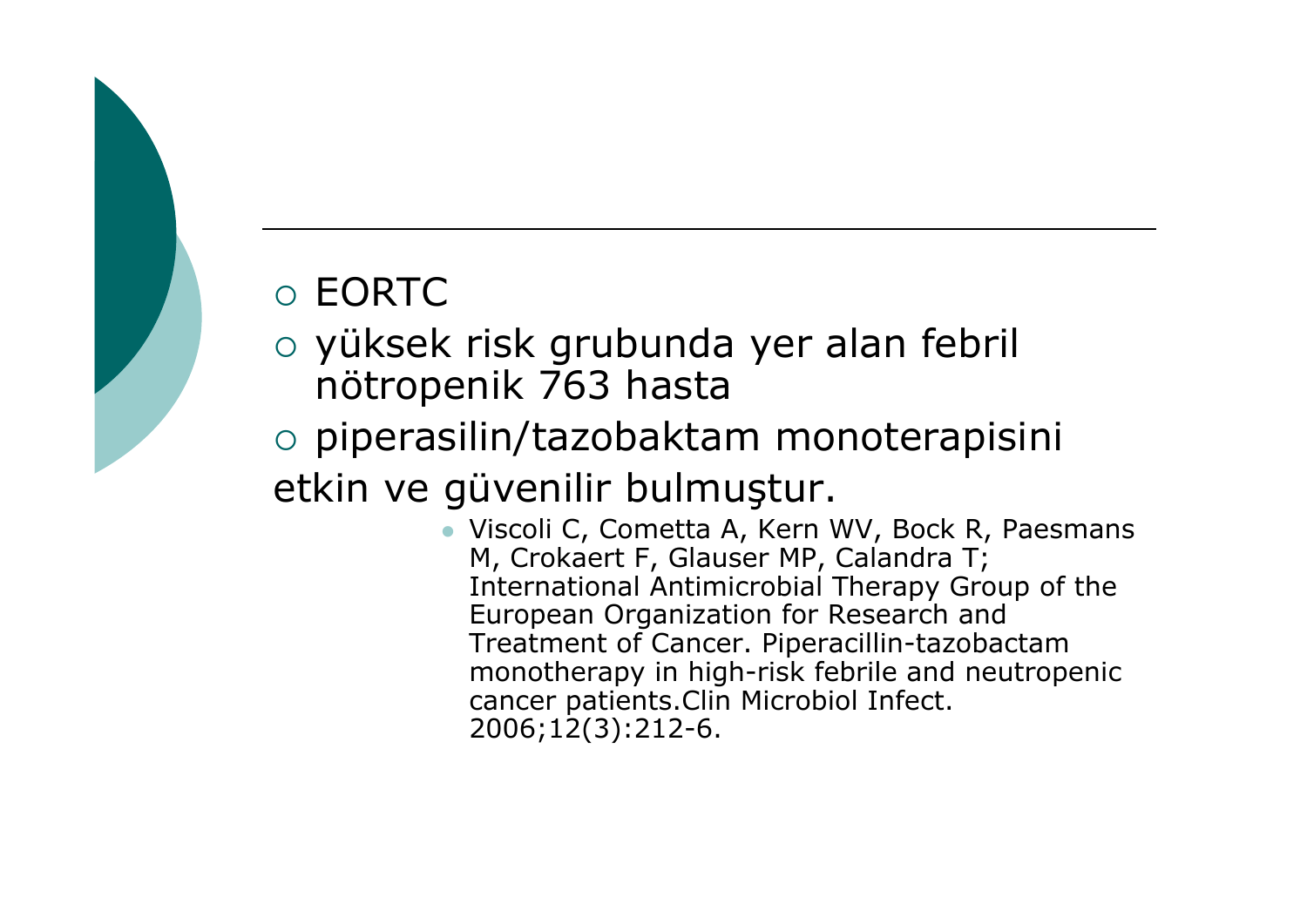### $\circ$  EORTC  $\circ$

- o yüksek risk grubunda yer alan febril nötropenik 763 hasta
- o piperasilin/tazobaktam monoterapisini etkin ve güvenilir bulmu ştur.
	- Viscoli C, Cometta A, Kern WV, Bock R, Paesmans M, Crokaert F, Glauser MP, Calandra T; International Antimicrobial Therapy Group of the European Organization for Research and Treatment of Cancer. Piperacillin-tazobactam monotherapy in high-risk febrile and neutropenic cancer patients.Clin Microbiol Infect. 2006;12(3):212-6.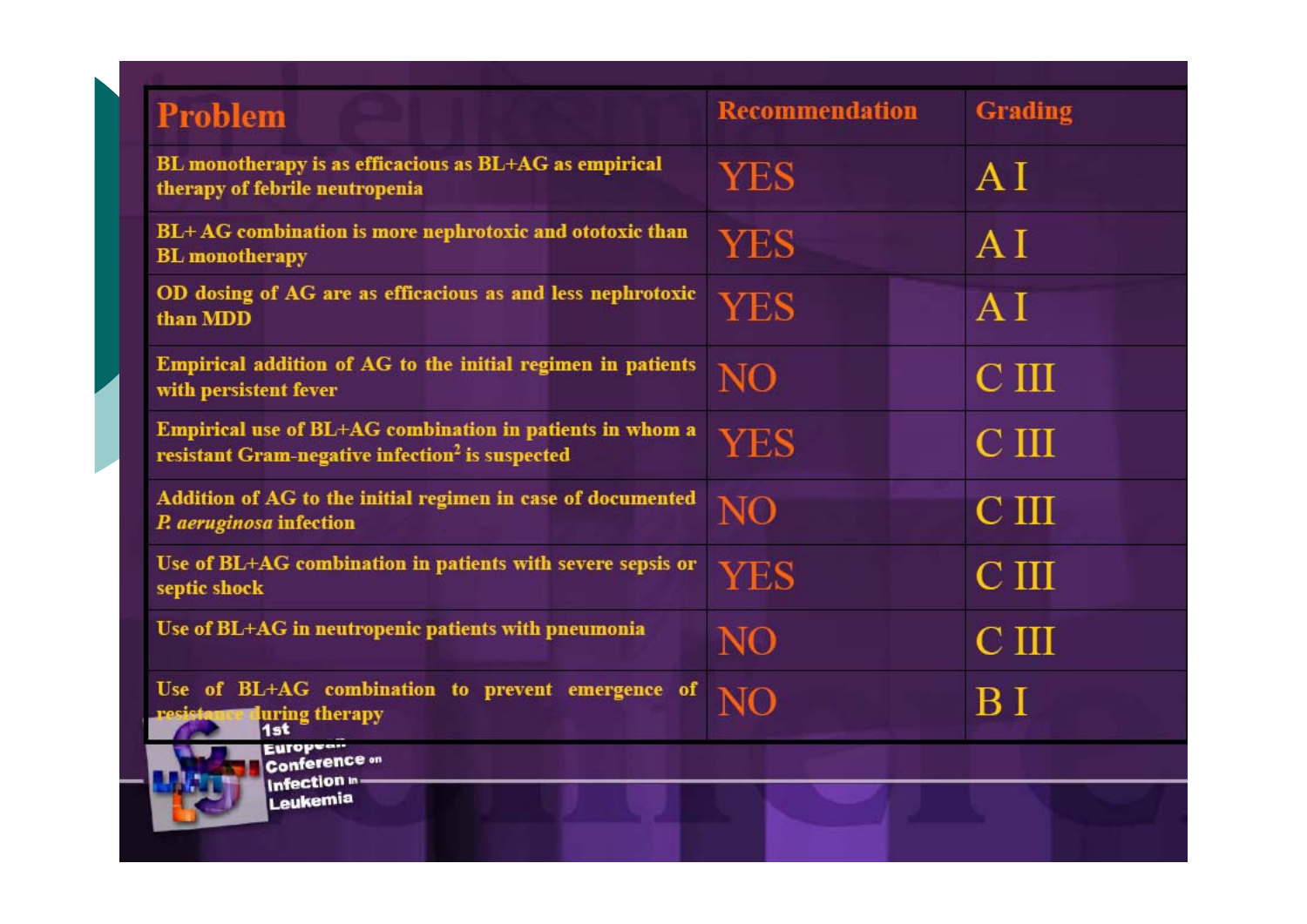| <b>Problem</b>                                                                                                          | <b>Recommendation</b> | <b>Grading</b>   |
|-------------------------------------------------------------------------------------------------------------------------|-----------------------|------------------|
| BL monotherapy is as efficacious as BL+AG as empirical<br>therapy of febrile neutropenia                                | <b>YES</b>            | AI               |
| BL+AG combination is more nephrotoxic and ototoxic than<br><b>BL</b> monotherapy                                        | <b>YES</b>            | AI               |
| OD dosing of AG are as efficacious as and less nephrotoxic<br>than MDD                                                  | <b>YES</b>            | AI               |
| Empirical addition of AG to the initial regimen in patients<br>with persistent fever                                    | NO                    | C <sub>III</sub> |
| Empirical use of BL+AG combination in patients in whom a<br>resistant Gram-negative infection <sup>2</sup> is suspected | <b>YES</b>            | $\rm C~III$      |
| Addition of AG to the initial regimen in case of documented<br>P. aeruginosa infection                                  | N <sub>O</sub>        | C <sub>III</sub> |
| Use of BL+AG combination in patients with severe sepsis or<br>septic shock                                              | YES                   | C <sub>III</sub> |
| Use of BL+AG in neutropenic patients with pneumonia                                                                     | NO                    | $\rm C~III$      |
| Use of BL+AG combination to prevent emergence of<br>uring therapy<br>1st                                                | N <sub>O</sub>        | B I              |
| <b>European</b><br><b>Conference on</b><br>Infection in<br>Leukemia                                                     |                       |                  |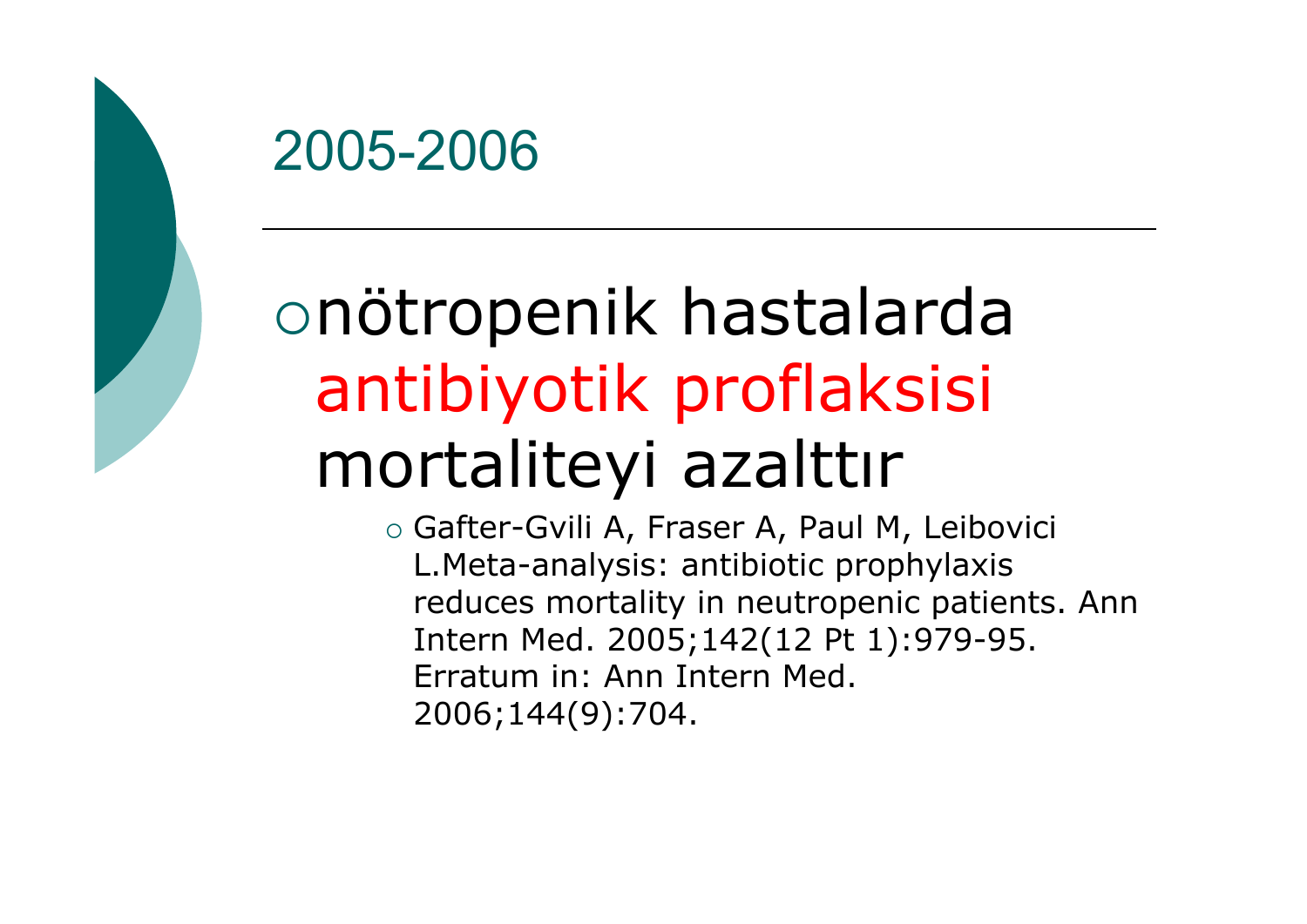

# {nötropenik hastalarda antibiyotik proflaksisi mortaliteyi azalttır

{ Gafter-Gvili A, Fraser A, Paul M, Leibovici L.Meta-analysis: antibiotic prophylaxis reduces mortality in neutropenic patients. Ann Intern Med. 2005;142(12 Pt 1):979-95. Erratum in: Ann Intern Med. 2006;144(9):704.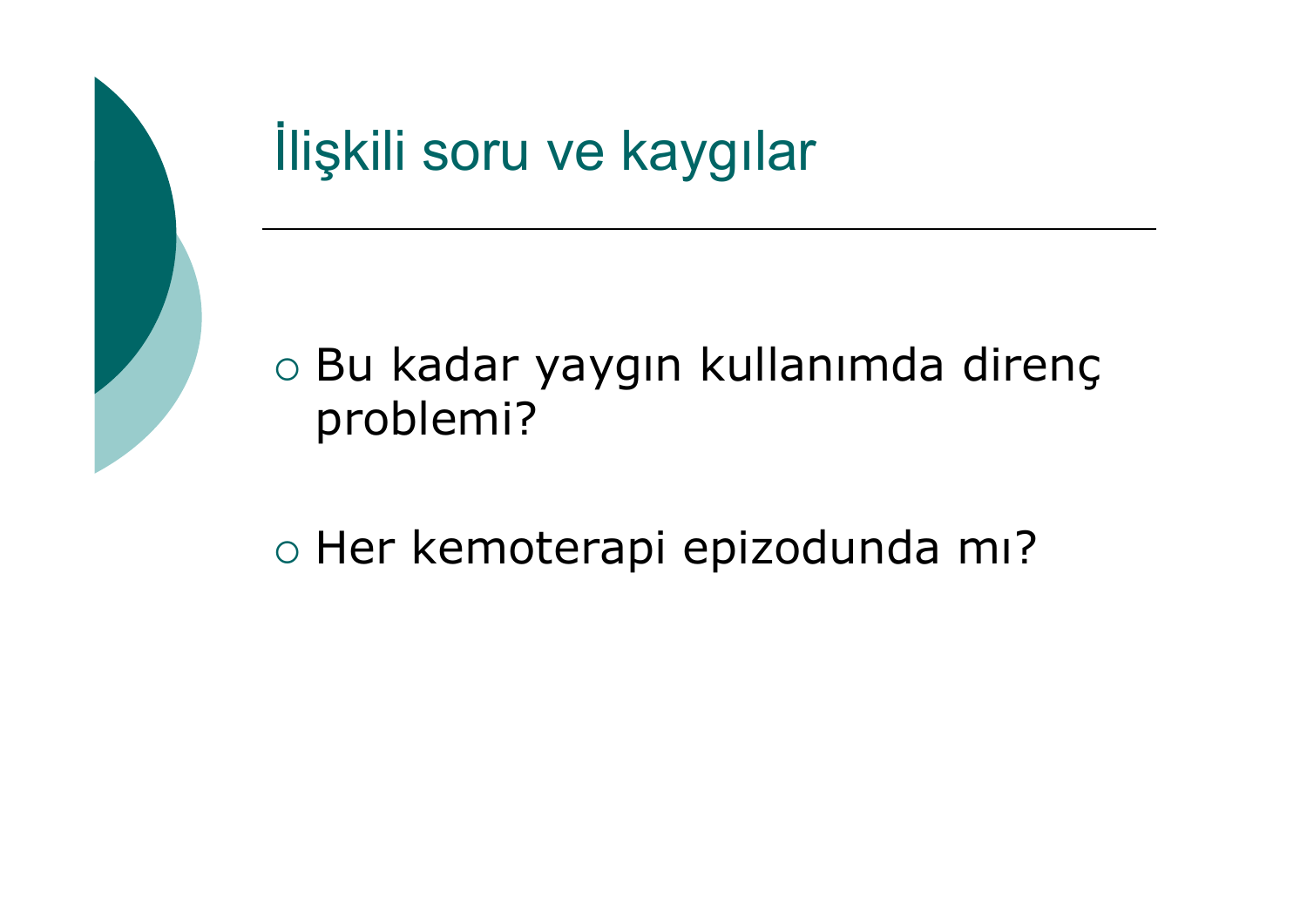

o Bu kadar yaygın kullanımda direnç problemi?

{ Her kemoterapi epizodunda mı?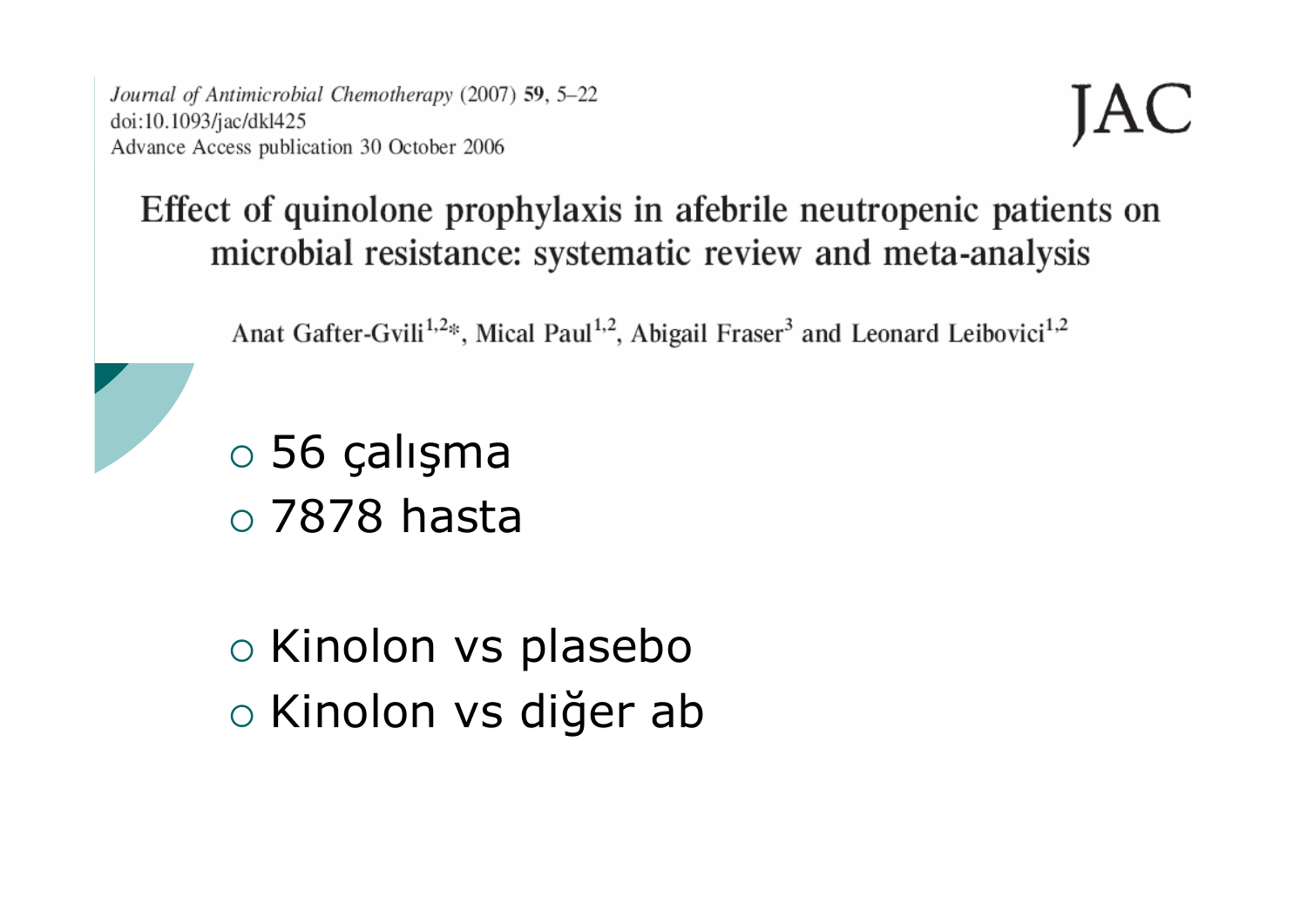Journal of Antimicrobial Chemotherapy (2007) 59, 5–22 doi:10.1093/jac/dkl425 Advance Access publication 30 October 2006

#### Effect of quinolone prophylaxis in afebrile neutropenic patients on microbial resistance: systematic review and meta-analysis

Anat Gafter-Gvili<sup>1,2\*</sup>, Mical Paul<sup>1,2</sup>, Abigail Fraser<sup>3</sup> and Leonard Leibovici<sup>1,2</sup>

 $\circ$  56 calisma  $\circ$  7878 hasta

○ Kinolon vs plasebo ○ Kinolon vs diğer ab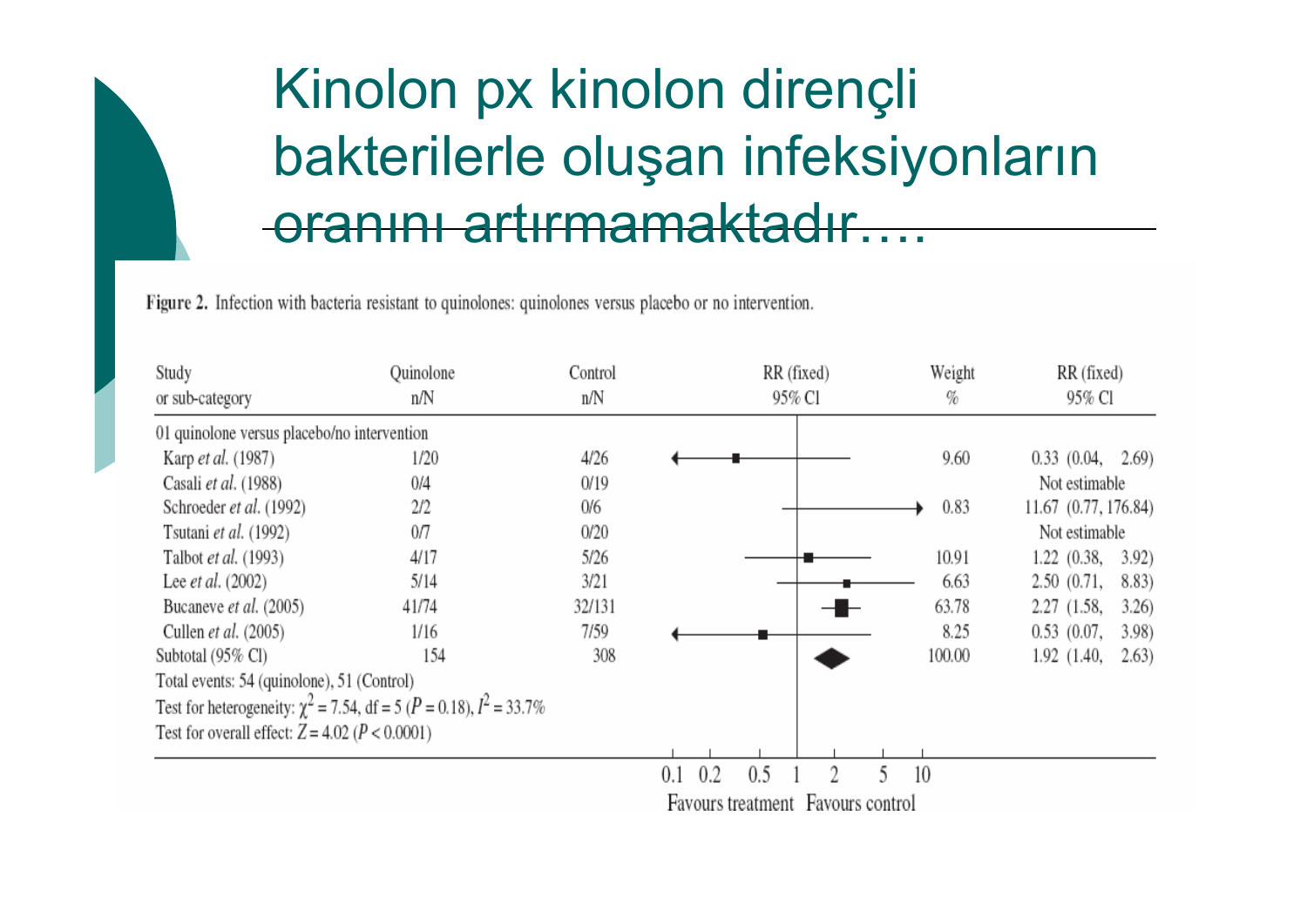## Kinolon px kinolon dirençli bakterilerle oluşan infeksiyonların oranını artırmamaktadır....

Figure 2. Infection with bacteria resistant to quinolones: quinolones versus placebo or no intervention.

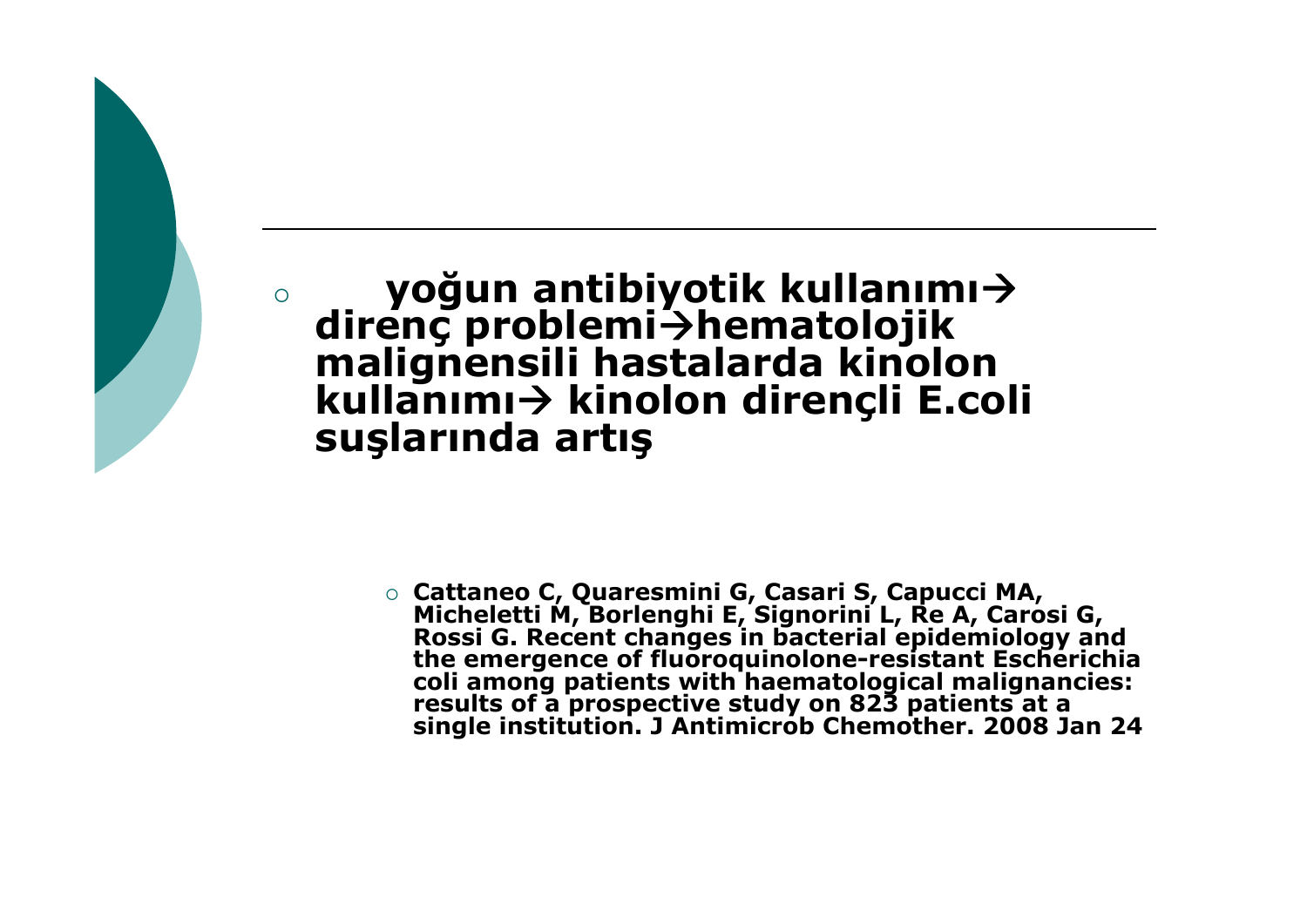**yoğun antibiyotik kullanımı→<br>
<b>direnç problemi→hematolojik**<br>
malignensili hastalarda kinolon **kinolon dirençli E.coli suşlarında artış**

 $\circ$ 

○ Cattaneo C, Quaresmini G, Casari S, Capucci MA, Micheletti M, Borlenghi E, Signorini L, Re A, Carosi G,<br>Rossi G. Recent changes in bacterial epidemiology and<br>the emergence of fluoroquinolone-resistant Escherichia<br>coli among patients with haematological malignancies: **single institution. J Antimicrob Chemother. 2008 Jan 24**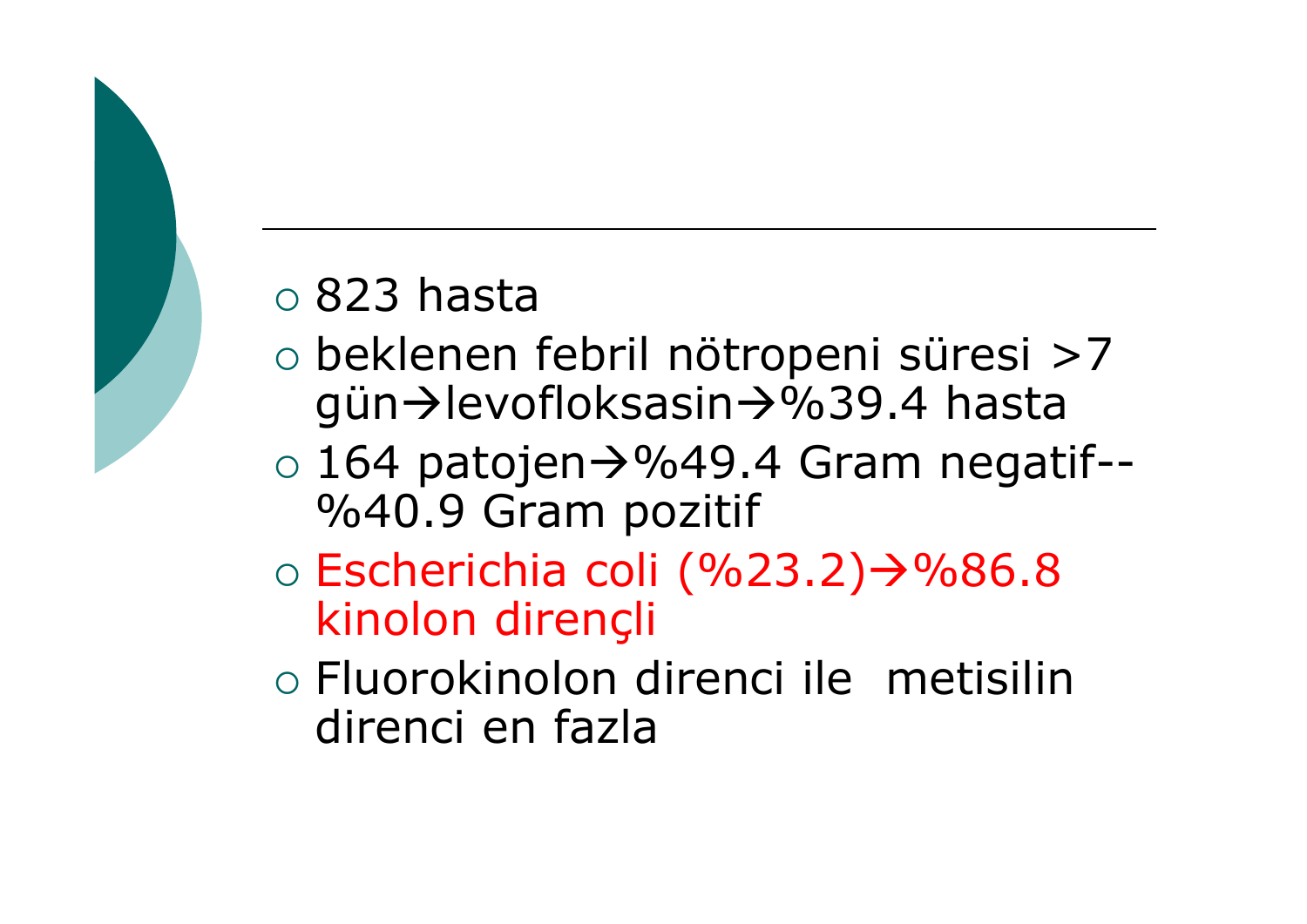### ${\circ}$  823 hasta

- { beklenen febril nötropeni süresi >7 gün→levofloksasin→%39.4 hasta
- $\circ$  164 patojen $\rightarrow$ %49.4 Gram negatif--%40.9 Gram pozitif
- $\circ$  Escherichia coli (%23.2) $\rightarrow$ %86.8 kinolon dirençli
- { Fluorokinolon direnci ile metisilin direnci en fazla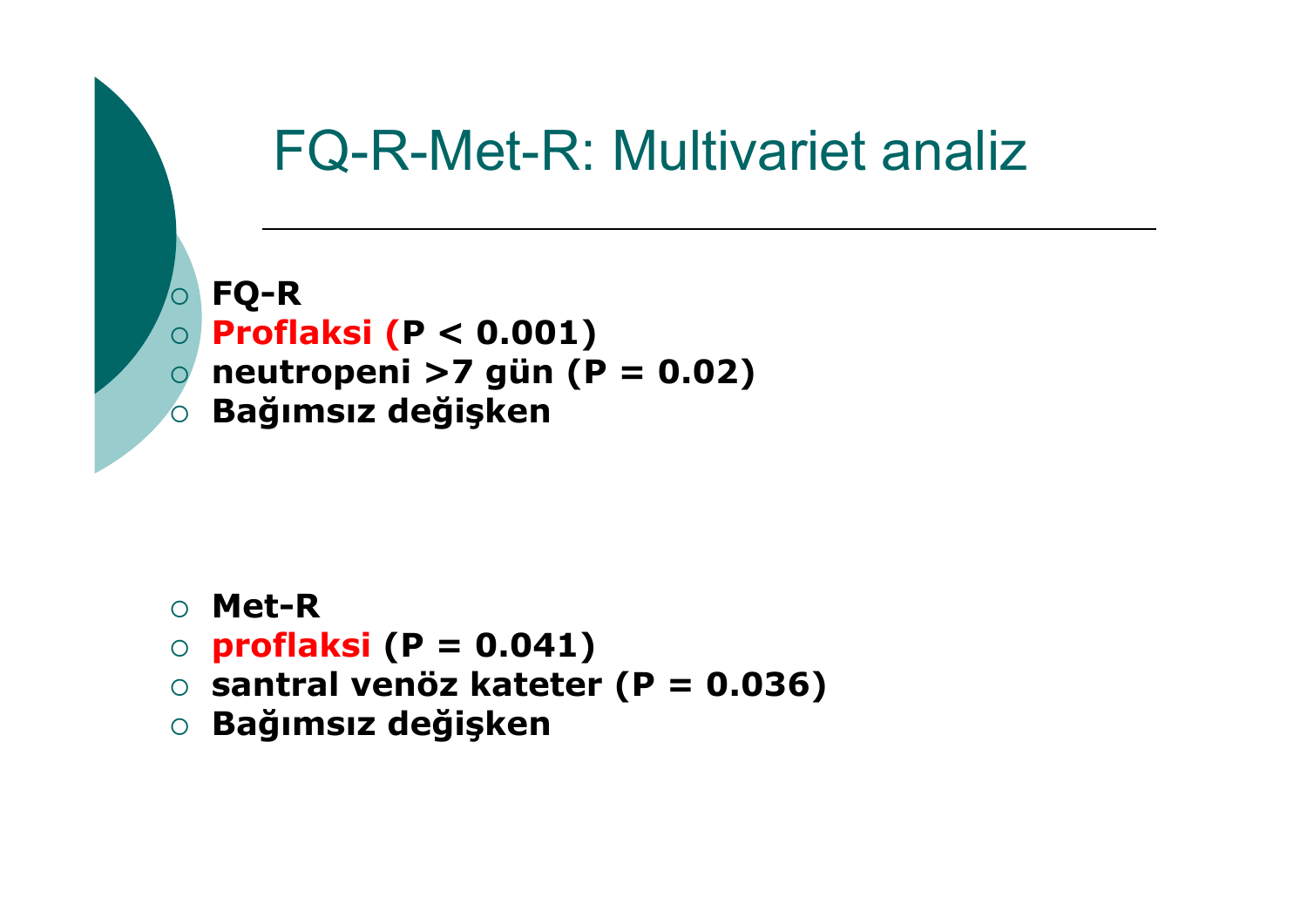## FQ-R-Met-R: Multivariet analiz

 $\overline{O}$  **FQ-R**  $\overline{O}$  **Proflaksi (P < 0.001)**  { **neutropeni >7 gün (P = 0.02)**  { **Ba ğımsız de ğişken**

- { **Met-R**
- { **proflaksi (P = 0.041)**
- { **santral venöz kateter (P = 0.036)**
- { **Ba ğımsız de ğişken**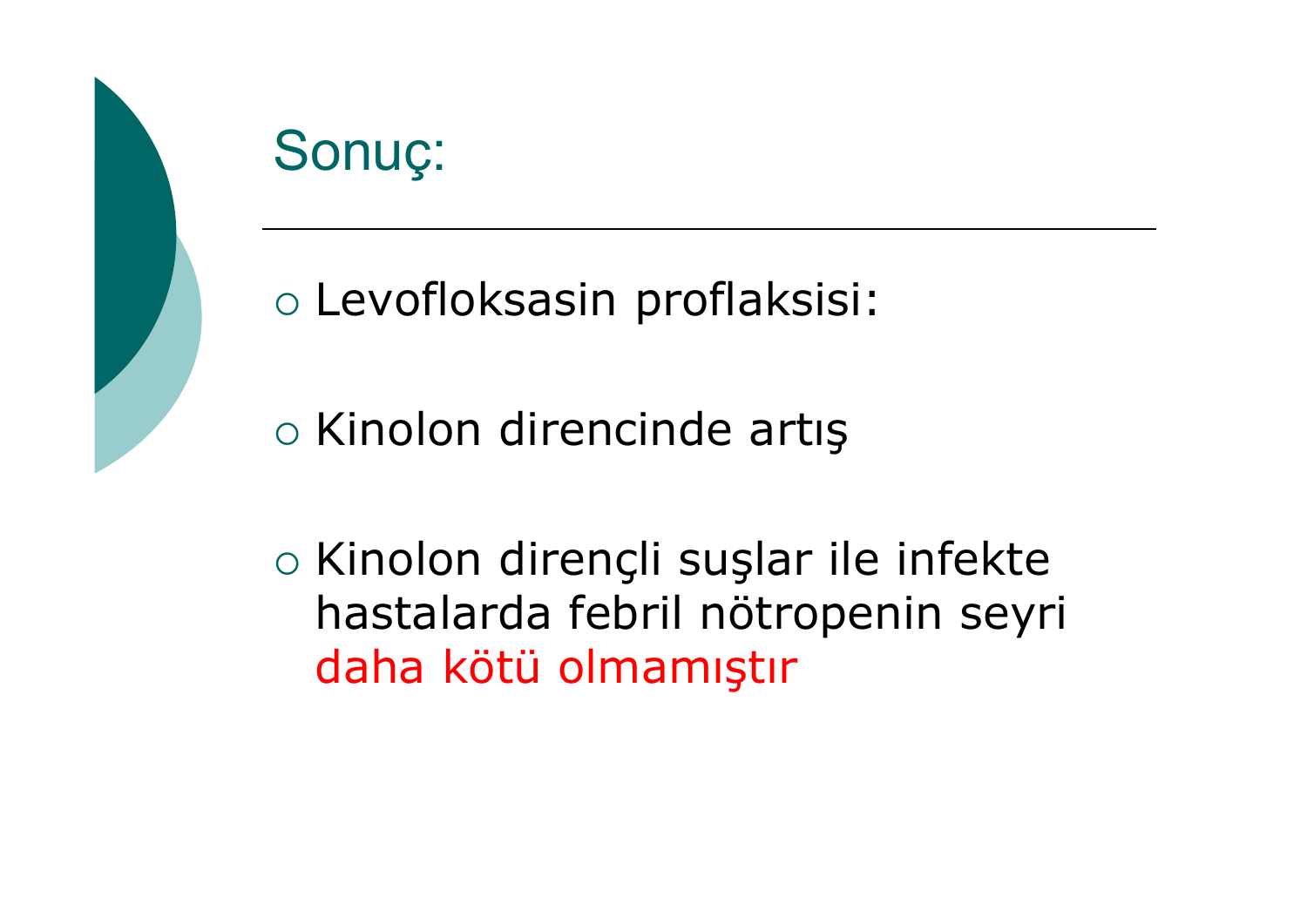

o Levofloksasin proflaksisi:

○ Kinolon direncinde artis

○ Kinolon direncli suslar ile infekte hastalarda febril nötropenin seyri daha kötü olmamıştır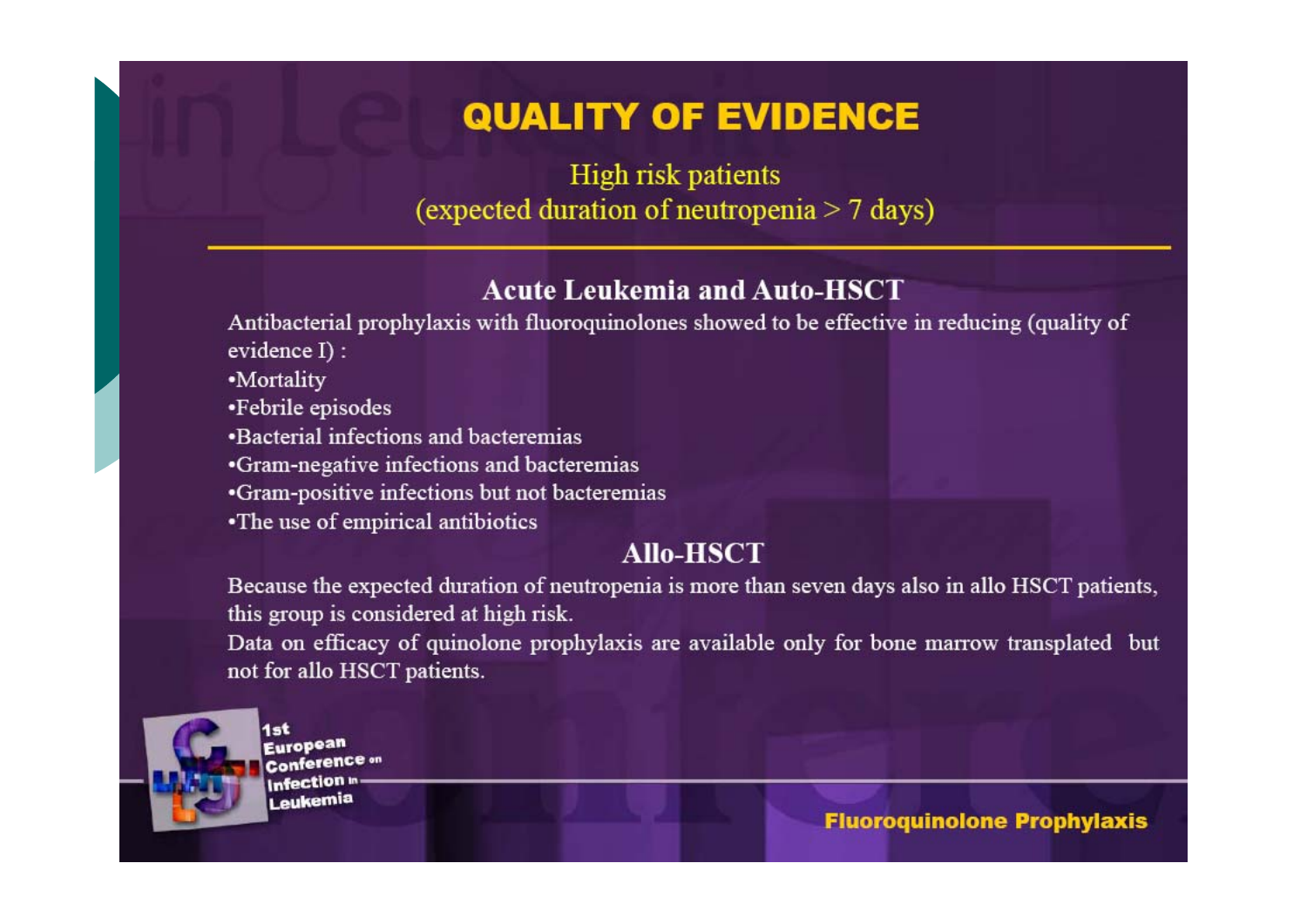### **QUALITY OF EVIDENCE**

High risk patients (expected duration of neutropenia  $> 7$  days)

#### **Acute Leukemia and Auto-HSCT**

Antibacterial prophylaxis with fluoroquinolones showed to be effective in reducing (quality of evidence I) :

- •Mortality
- •Febrile episodes
- .Bacterial infections and bacteremias
- •Gram-negative infections and bacteremias
- •Gram-positive infections but not bacteremias
- •The use of empirical antibiotics

#### **Allo-HSCT**

Because the expected duration of neutropenia is more than seven days also in allo HSCT patients, this group is considered at high risk.

Data on efficacy of quinolone prophylaxis are available only for bone marrow transplated but not for allo HSCT patients.



**Furopean Conference** on nfection eukemia

**Fluoroquinolone Prophylaxis**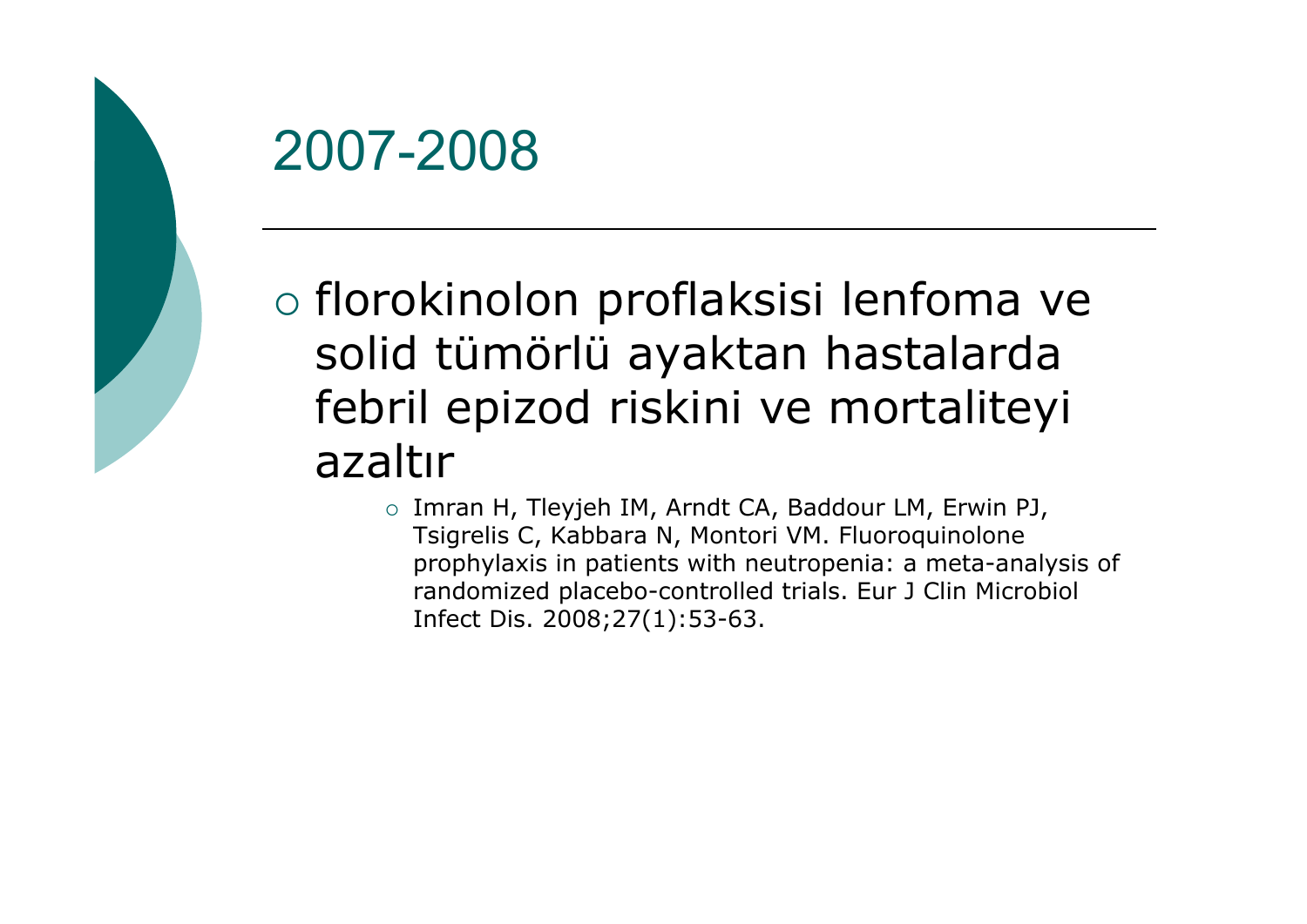

o florokinolon proflaksisi lenfoma ve solid tümörlü ayaktan hastalarda febril epizod riskini ve mortaliteyi azaltır

> $\circ$  Imran H, Tleyjeh IM, Arndt CA, Baddour LM, Erwin PJ, Tsigrelis C, Kabbara N, Montori VM. Fluoroquinolone prophylaxis in patients with neutropenia: a meta-analysis of randomized placebo-controlled trials. Eur J Clin Microbiol Infect Dis. 2008;27(1):53-63.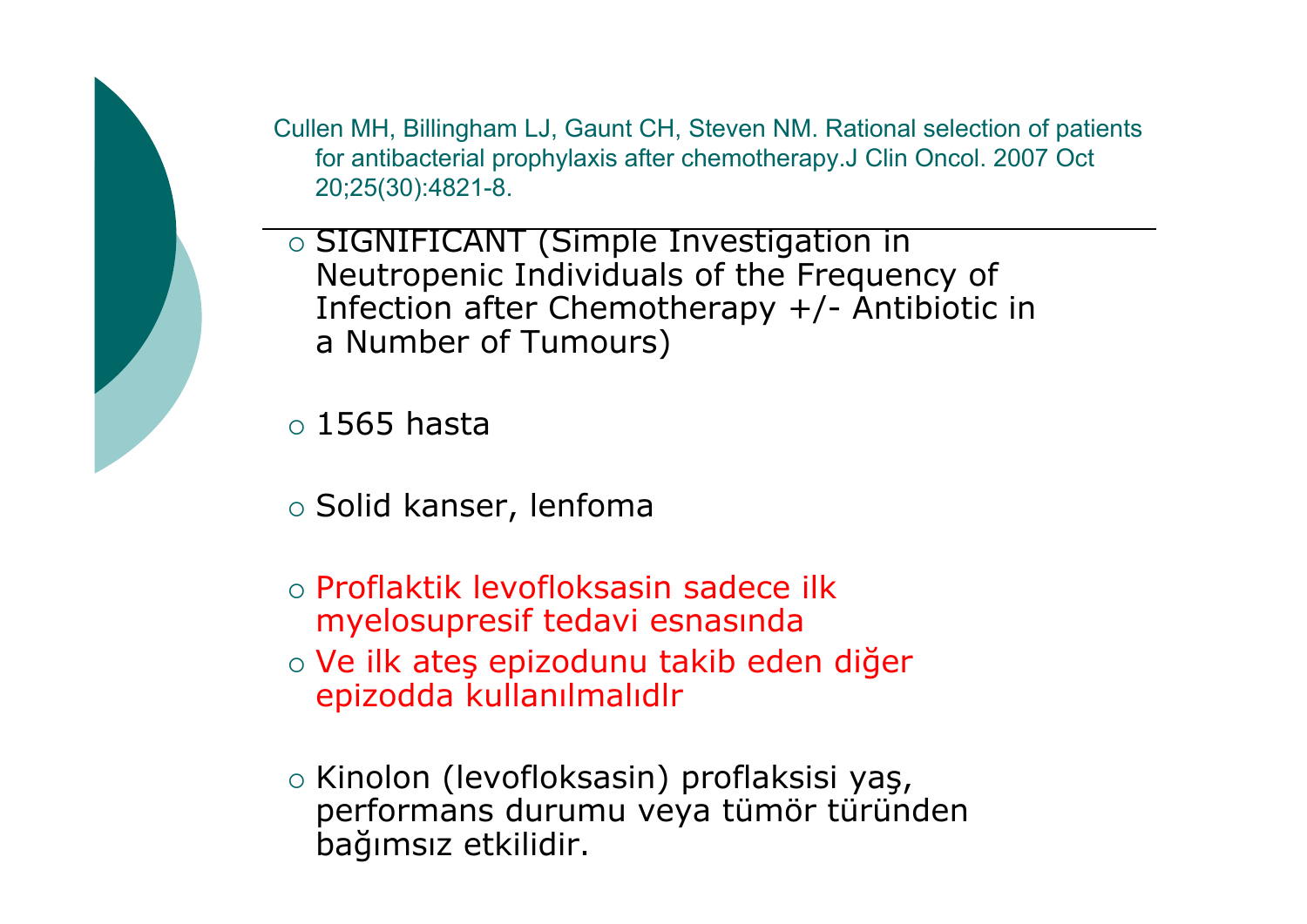Cullen MH, Billingham LJ, Gaunt CH, Steven NM. Rational selection of patients for antibacterial prophylaxis after chemotherapy.J Clin Oncol. 2007 Oct 20;25(30):4821-8.

{ SIGNIFICANT (Simple Investigation in Neutropenic Individuals of the Frequency of Infection after Chemotherapy +/- Antibiotic in a Number of Tumours)

 ${\circ}$  1565 hasta

- $\circ$  Solid kanser, lenfoma
- { Proflaktik levofloksasin sadece ilk myelosupresif tedavi esnasında
- o Ve ilk ateş epizodunu takib eden diğer epizodda kullanılmalıdlr
- $\circ$  Kinolon (levofloksasin) proflaksisi yaş, performans durumu veya tümör türünden ba ğımsız etkilidir.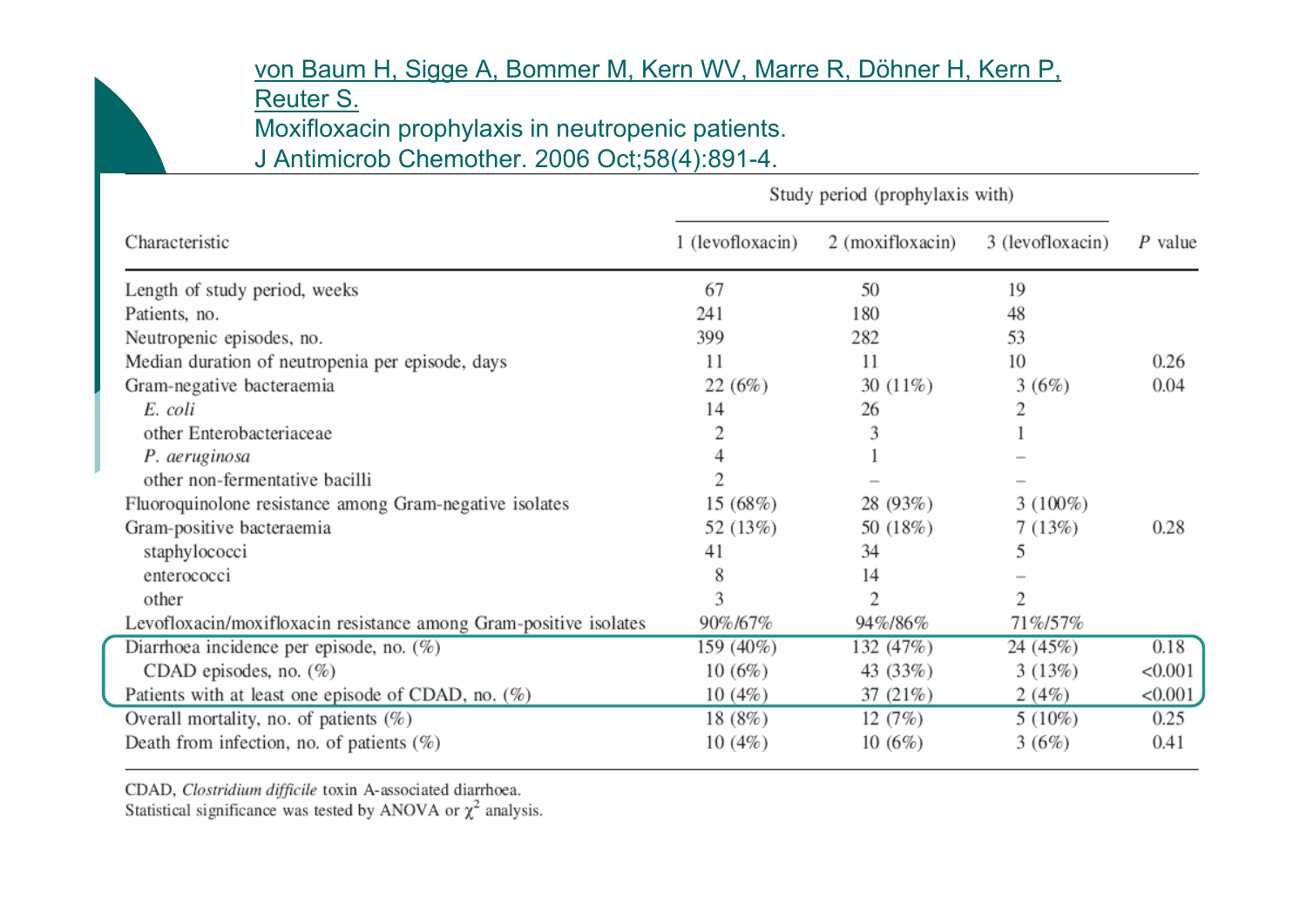#### von Baum H, Sigge [A, Bommer](http://www.ncbi.nlm.nih.gov/pubmed/16880172?ordinalpos=204&itool=EntrezSystem2.PEntrez.Pubmed.Pubmed_ResultsPanel.Pubmed_RVDocSum) M, Kern WV, Marre R, Döhner H, Kern P,

[Reuter](http://www.ncbi.nlm.nih.gov/pubmed/16880172?ordinalpos=204&itool=EntrezSystem2.PEntrez.Pubmed.Pubmed_ResultsPanel.Pubmed_RVDocSum) S.

Moxifloxacin prophylaxis in neutropenic patients.

J Antimicrob Chemother. 2006 Oct;58(4):891-4.

|                                                                   | Study period (prophylaxis with) |                  |                  |           |
|-------------------------------------------------------------------|---------------------------------|------------------|------------------|-----------|
| Characteristic                                                    | 1 (levofloxacin)                | 2 (moxifloxacin) | 3 (levofloxacin) | $P$ value |
| Length of study period, weeks                                     | 67                              | 50               | 19               |           |
| Patients, no.                                                     | 241                             | 180              | 48               |           |
| Neutropenic episodes, no.                                         | 399                             | 282              | 53               |           |
| Median duration of neutropenia per episode, days                  | 11                              | 11               | 10               | 0.26      |
| Gram-negative bacteraemia                                         | 22(6%)                          | 30 $(11\%)$      | 3(6%)            | 0.04      |
| E. coli                                                           | 14                              | 26               | 2                |           |
| other Enterobacteriaceae                                          |                                 | 3                |                  |           |
| P. aeruginosa                                                     |                                 |                  |                  |           |
| other non-fermentative bacilli                                    |                                 |                  |                  |           |
| Fluoroquinolone resistance among Gram-negative isolates           | 15(68%)                         | 28 (93%)         | $3(100\%)$       |           |
| Gram-positive bacteraemia                                         | 52 (13%)                        | 50 (18%)         | 7(13%)           | 0.28      |
| staphylococci                                                     | 41                              | 34               | 5                |           |
| enterococci                                                       | 8                               | 14               |                  |           |
| other                                                             | 3                               | $\overline{2}$   | 2                |           |
| Levofloxacin/moxifloxacin resistance among Gram-positive isolates | 90%/67%                         | 94%/86%          | 71%/57%          |           |
| Diarrhoea incidence per episode, no. (%)                          | 159 (40%)                       | 132 (47%)        | 24 (45%)         | 0.18      |
| CDAD episodes, no. $(\%)$                                         | 10(6%)                          | 43 (33%)         | 3(13%)           | < 0.001   |
| Patients with at least one episode of CDAD, no. $(\%)$            | 10(4%)                          | 37 (21%)         | 2(4%)            | < 0.001   |
| Overall mortality, no. of patients $(\%)$                         | 18 (8%)                         | 12(7%)           | $5(10\%)$        | 0.25      |
| Death from infection, no. of patients $(\%)$                      | 10(4%)                          | 10(6%)           | 3(6%)            | 0.41      |

CDAD, Clostridium difficile toxin A-associated diarrhoea.

Statistical significance was tested by ANOVA or  $\chi^2$  analysis.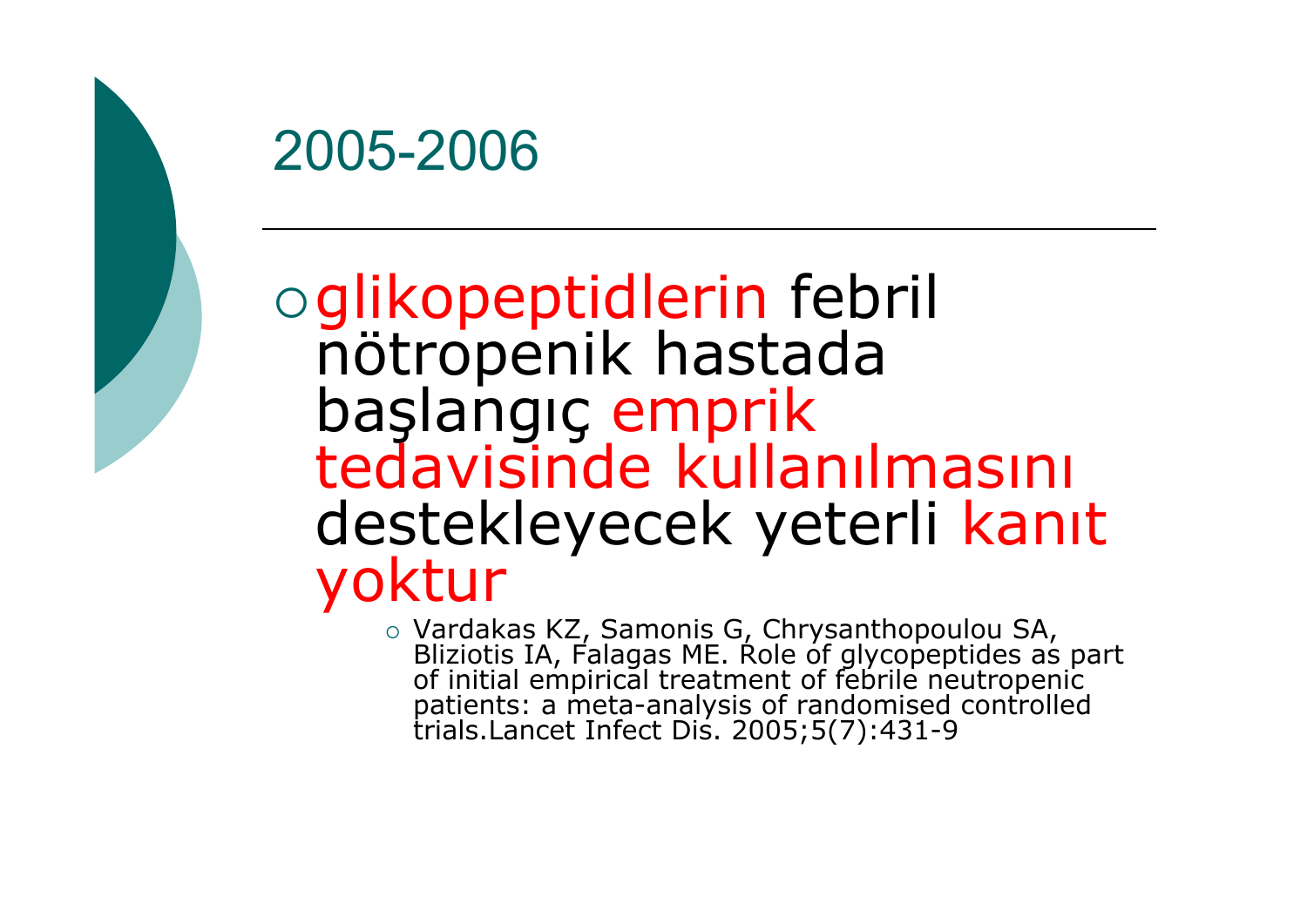

## {glikopeptidlerin febril nötropenik hastada ba başlangıç emprik<br>tedavisinde kullanılmasını destekleyecek yeterli kanıt yoktur

• Vardakas KZ, Samonis G, Chrysanthopoulou SA,<br>Bliziotis IA, Falagas ME. Role of glycopeptides as part<br>of initial empirical treatment of febrile neutropenic<br>patients: a meta-analysis of randomised controlled<br>trials.Lancet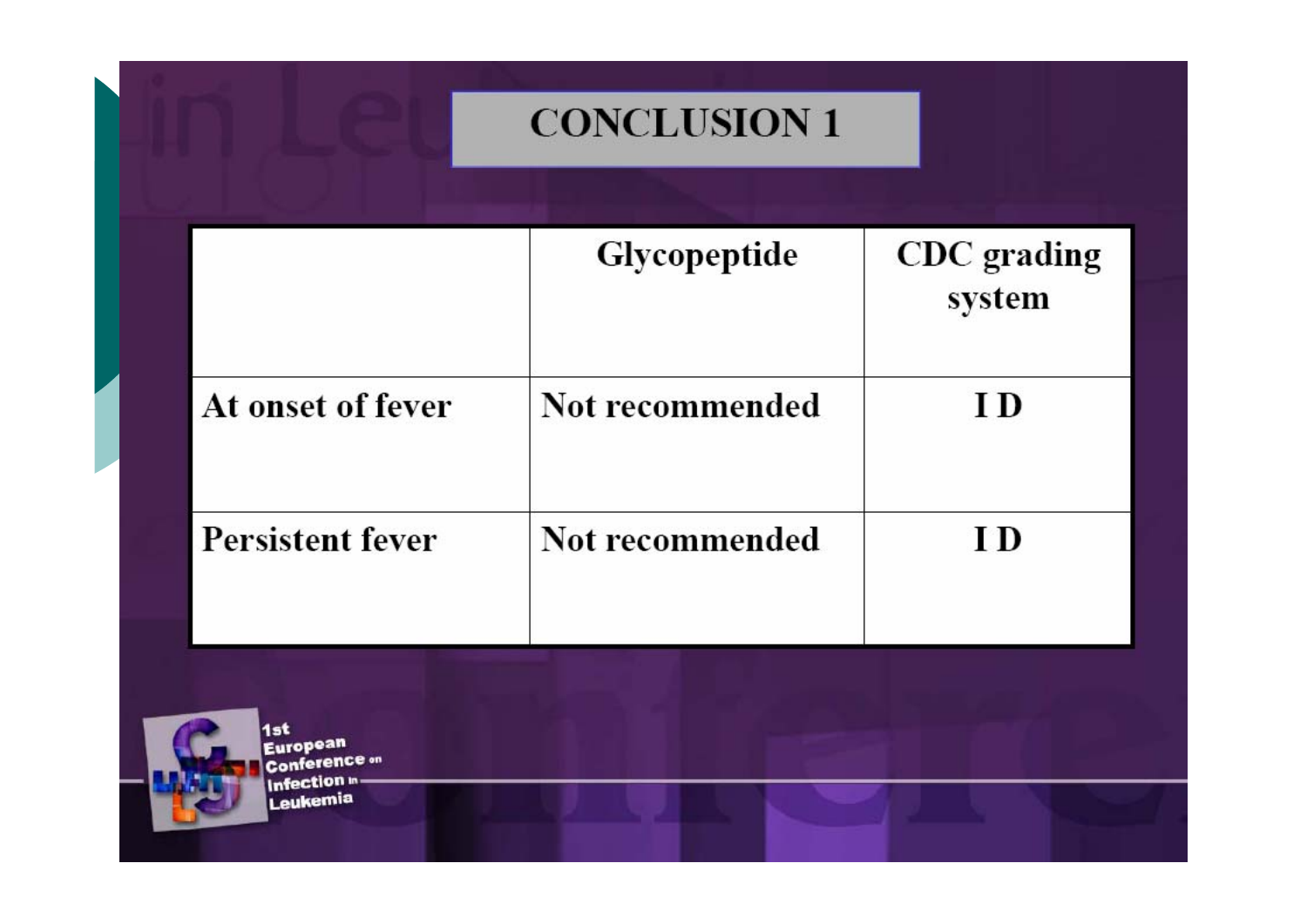### **CONCLUSION 1**

|                         | <b>Glycopeptide</b> | CDC grading<br>system |
|-------------------------|---------------------|-----------------------|
| At onset of fever       | Not recommended     | I D                   |
| <b>Persistent fever</b> | Not recommended     | I D                   |

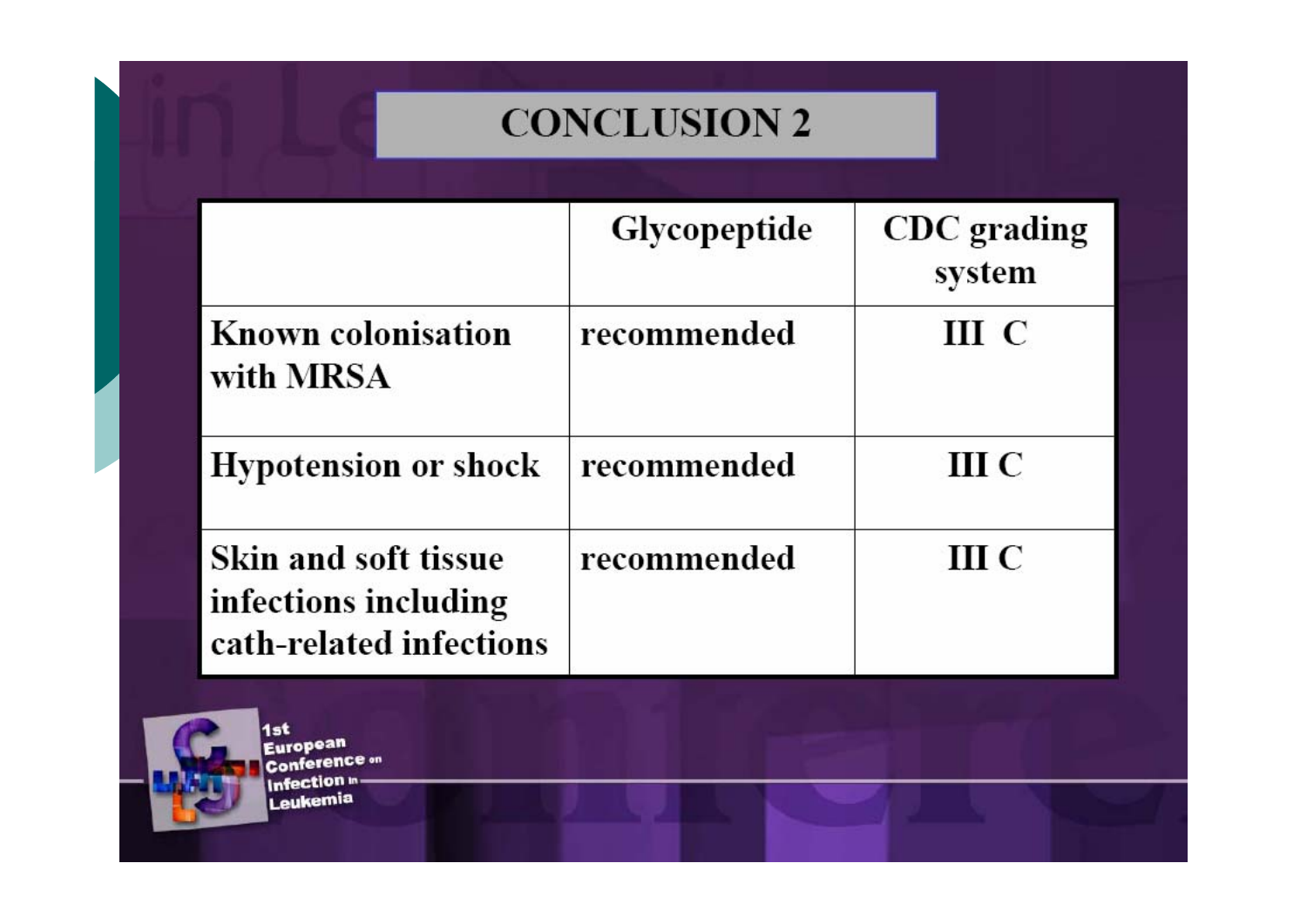### **CONCLUSION 2**

|                                                                         | <b>Glycopeptide</b> | CDC grading<br>system |
|-------------------------------------------------------------------------|---------------------|-----------------------|
| <b>Known colonisation</b><br>with MRSA                                  | recommended         | ш с                   |
| <b>Hypotension or shock</b>                                             | recommended         | III C                 |
| Skin and soft tissue<br>infections including<br>cath-related infections | recommended         | III C                 |



1st<br>European **Conference** on Infection **in**. Leukemia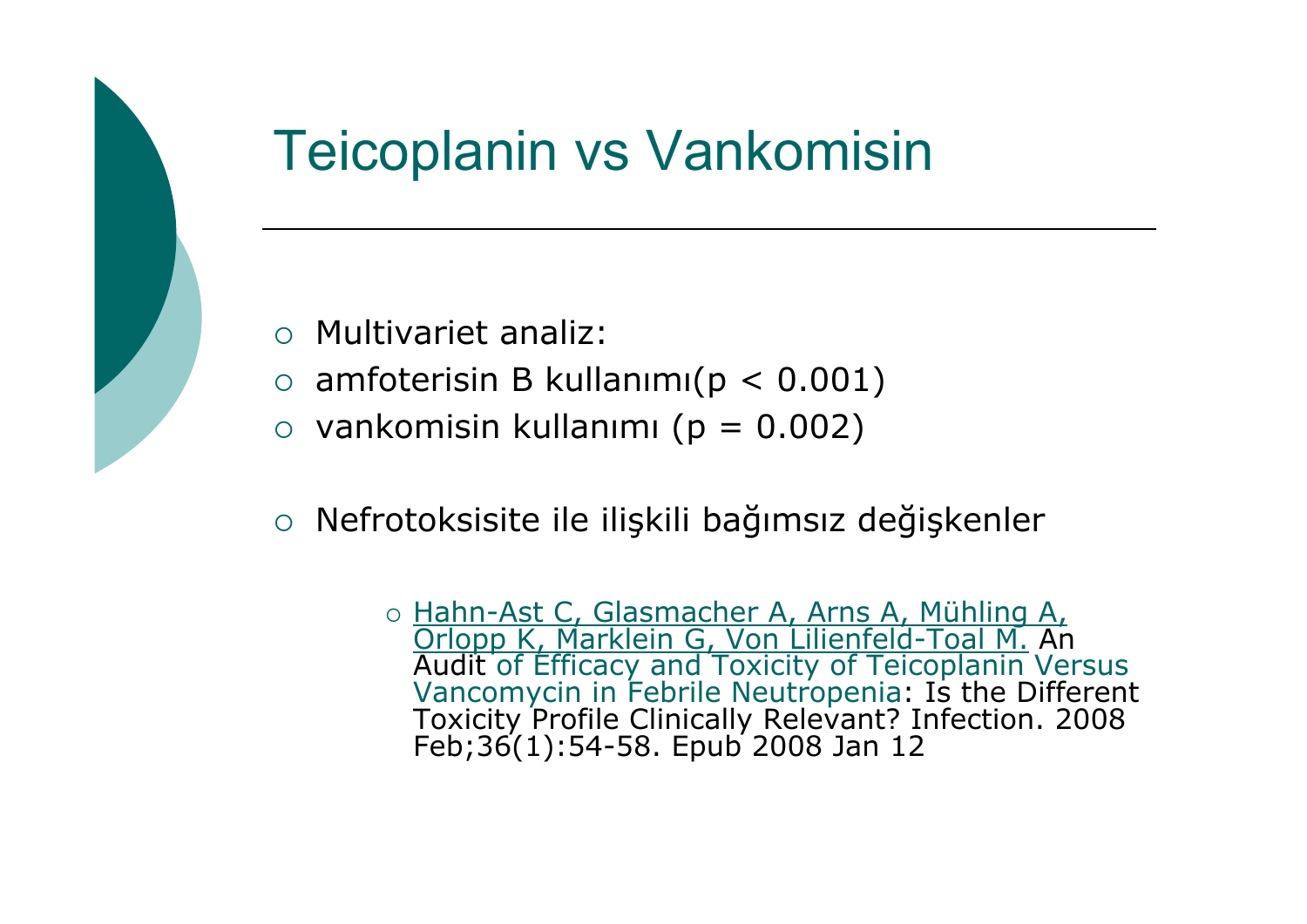## Teicoplanin vs Vankomisin

- $\circ$  Multivariet analiz:
- $\circ$  amfoterisin B kullanımı(p < 0.001)
- $\circ$  vankomisin kullanımı (p = 0.002)
- $\bigcirc$ Nefrotoksisite ile ili şkili ba ğımsız de ğişkenler

o Hahn-Ast C, Glasmacher A, Arns A, Mühling A, o Hahn-Ast C, Glasmacher A, Arns A, Mühling A,<br>Orlopp K, Marklein G, Von Lilienfeld-Toal M. An<br>Audit of Efficacy and Toxicity of Teicoplanin Versus Vancomycin in Febrile Neutropenia: Is the Different<br>Toxicity Profile Clinically Relevant? Infection. 2008 Feb;36(1):54-58. Epub 2008 Jan 12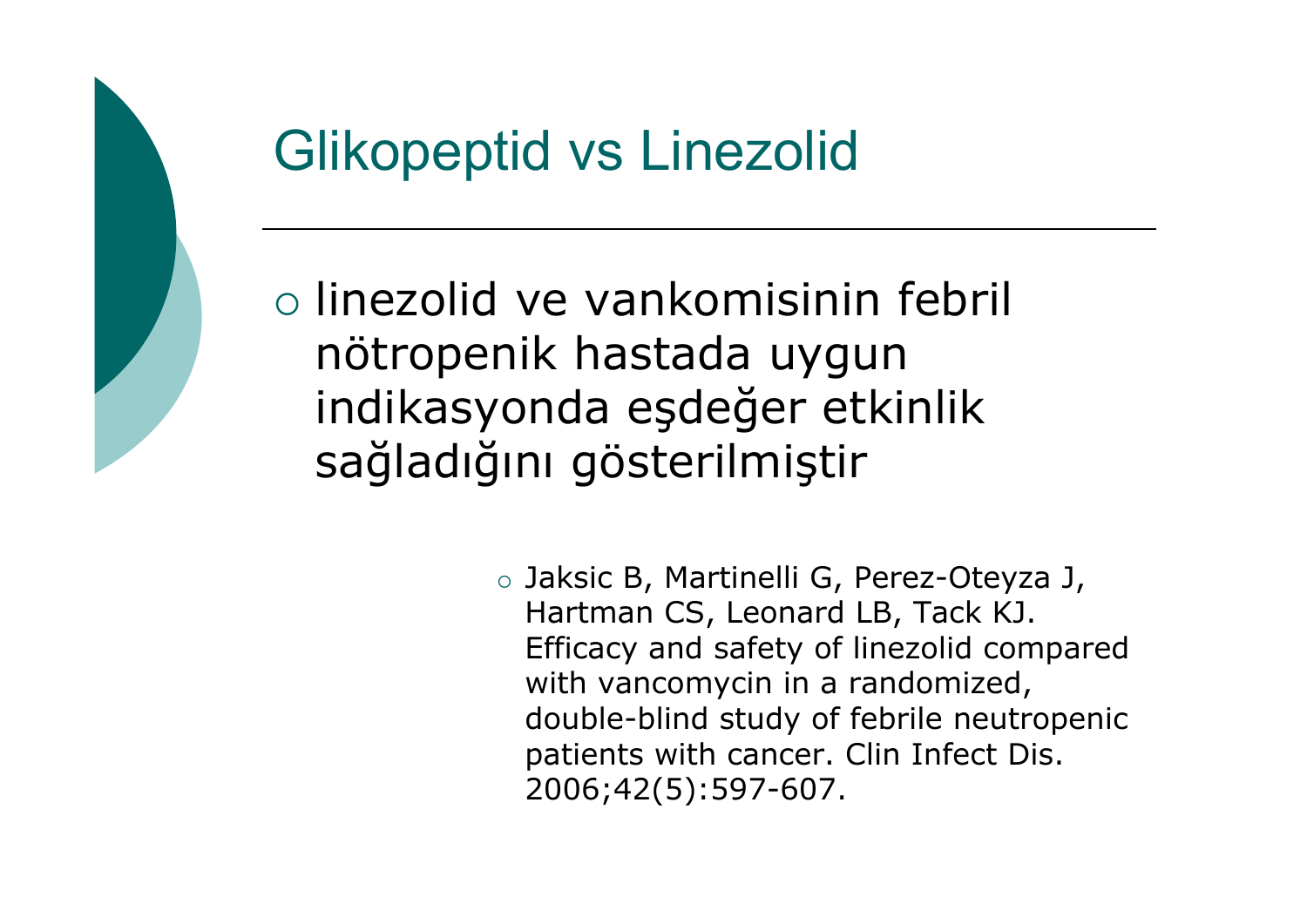## Glikopeptid vs Linezolid

{ linezolid ve vankomisinin febril nötropenik hastada uygun indikasyonda <sup>e</sup> şde ğer etkinlik sa ğladığını gösterilmi ştir

> $\,\circ\,$  Jaksic B, Martinelli G, Perez-Oteyza J,  $\,$ Hartman CS, Leonard LB, Tack KJ. Efficacy and safety of linezolid compared with vancomycin in a randomized, double-blind study of febrile neutropenic patients with cancer. Clin Infect Dis. 2006;42(5):597-607.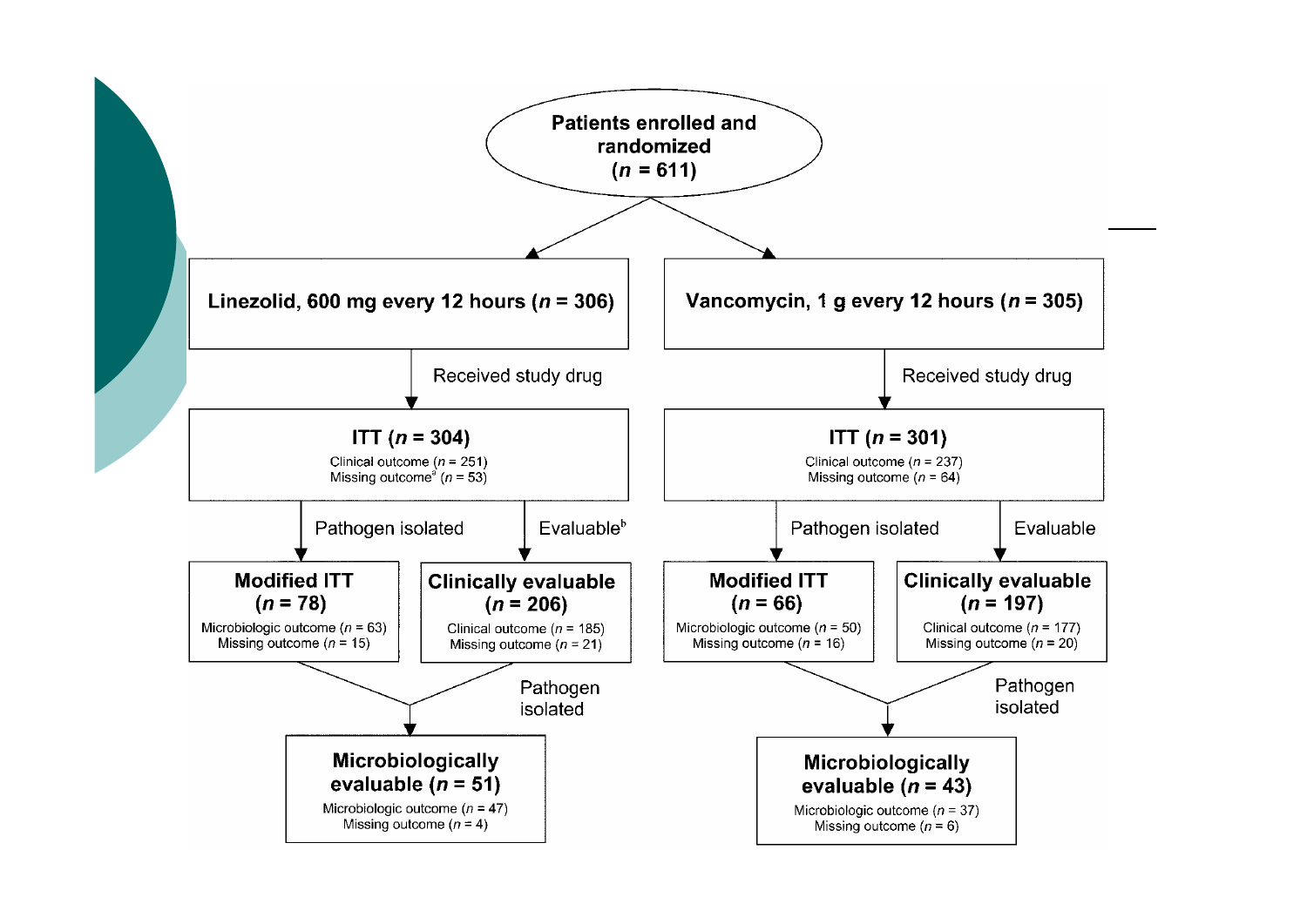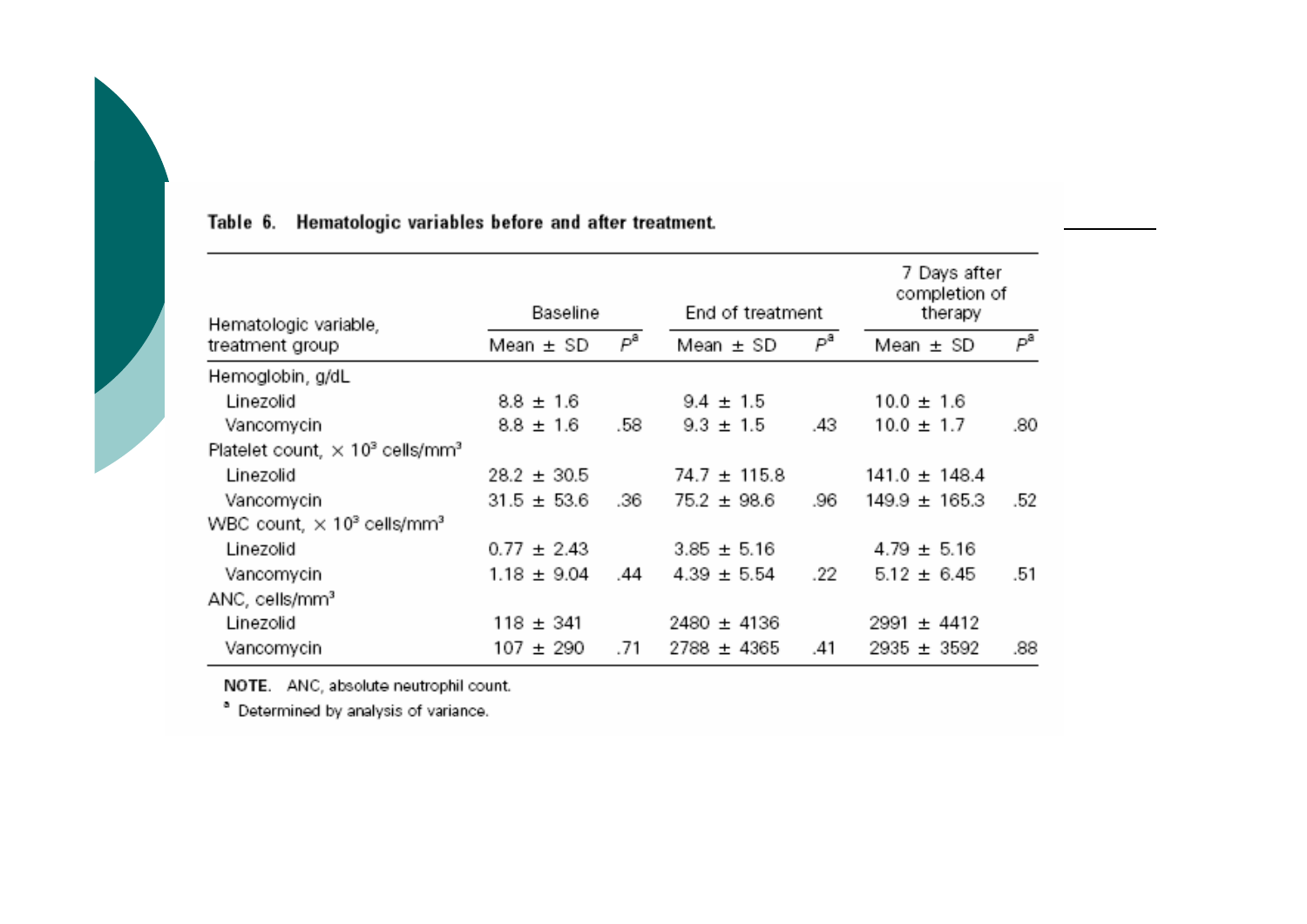| Hematologic variable,                                          | Baseline        |     | End of treatment |     | 7 Days after<br>completion of<br>therapy |                |
|----------------------------------------------------------------|-----------------|-----|------------------|-----|------------------------------------------|----------------|
| treatment group                                                | Mean $\pm$ SD   | Рª  | Mean $\pm$ SD    | Рª  | Mean $\pm$ SD                            | Р <sup>а</sup> |
| Hemoglobin, g/dL                                               |                 |     |                  |     |                                          |                |
| Linezolid                                                      | $8.8 \pm 1.6$   |     | $9.4 \pm 1.5$    |     | $10.0 \pm 1.6$                           |                |
| Vancomycin                                                     | $8.8 \pm 1.6$   | .58 | $9.3 \pm 1.5$    | .43 | $10.0 \pm 1.7$                           | .80            |
| Platelet count, $\times$ 10 <sup>3</sup> cells/mm <sup>3</sup> |                 |     |                  |     |                                          |                |
| Linezolid                                                      | $28.2 \pm 30.5$ |     | $74.7 \pm 115.8$ |     | $141.0 \pm 148.4$                        |                |
| Vancomycin                                                     | $31.5 \pm 53.6$ | .36 | $75.2 \pm 98.6$  | .96 | $149.9 \pm 165.3$                        | .52            |
| WBC count, $\times$ 10 <sup>3</sup> cells/mm <sup>3</sup>      |                 |     |                  |     |                                          |                |
| Linezolid                                                      | $0.77 \pm 2.43$ |     | $3.85 \pm 5.16$  |     | $4.79 \pm 5.16$                          |                |
| Vancomycin                                                     | $1.18 \pm 9.04$ | .44 | $4.39 \pm 5.54$  | .22 | $5.12 \pm 6.45$                          | .51            |
| ANC, cells/mm <sup>3</sup>                                     |                 |     |                  |     |                                          |                |
| Linezolid                                                      | $118 \pm 341$   |     | $2480 \pm 4136$  |     | $2991 \pm 4412$                          |                |
| Vancomycin                                                     | 107 ± 290       | .71 | $2788 \pm 4365$  | .41 | $2935 \pm 3592$                          | .88            |

#### Table 6. Hematologic variables before and after treatment.

NOTE. ANC, absolute neutrophil count.

<sup>a</sup> Determined by analysis of variance.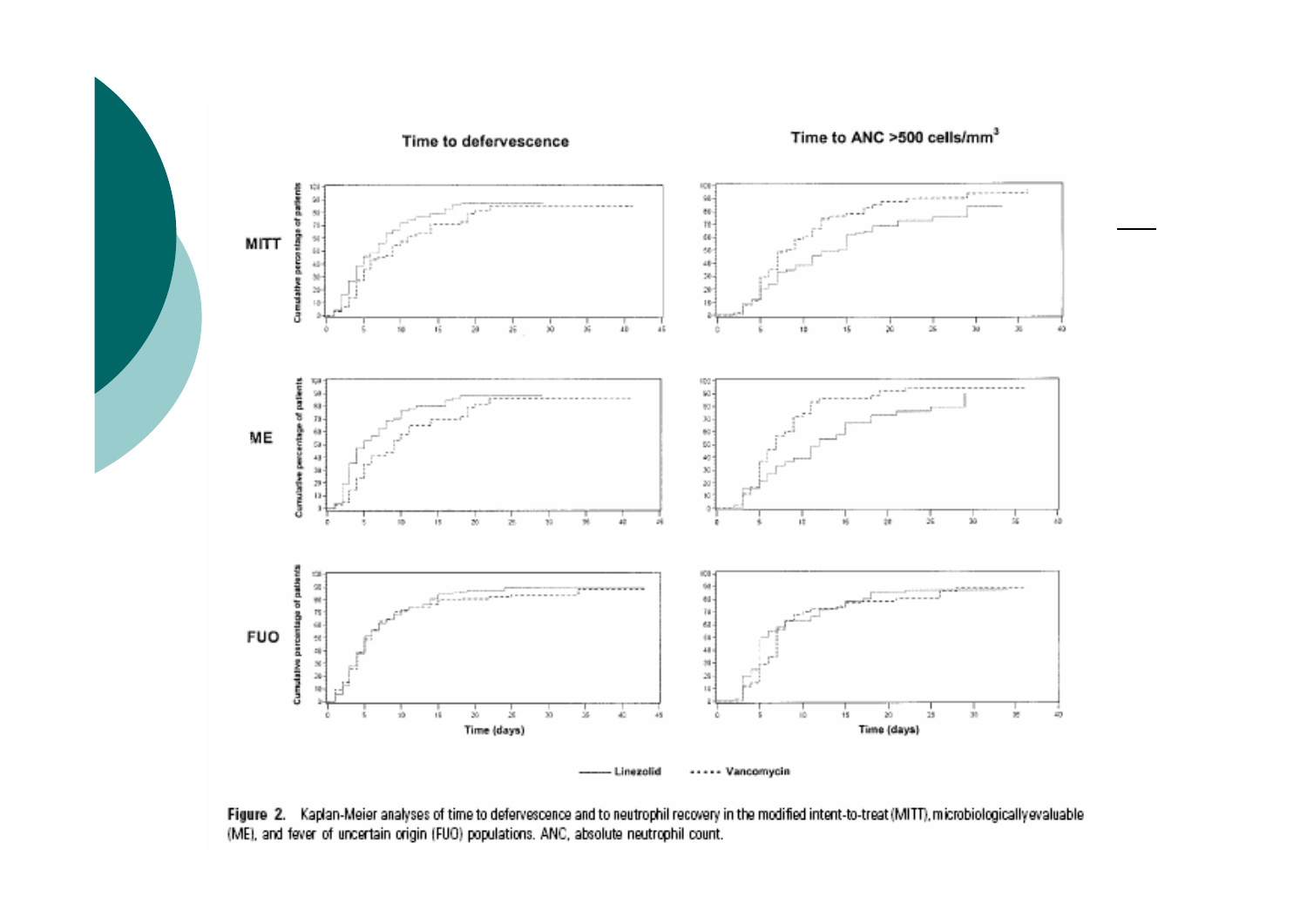

Figure 2. Kaplan-Meier analyses of time to defervescence and to neutrophil recovery in the modified intent-to-treat (MITT), microbiologically evaluable (ME), and fever of uncertain origin (FUO) populations. ANC, absolute neutrophil count.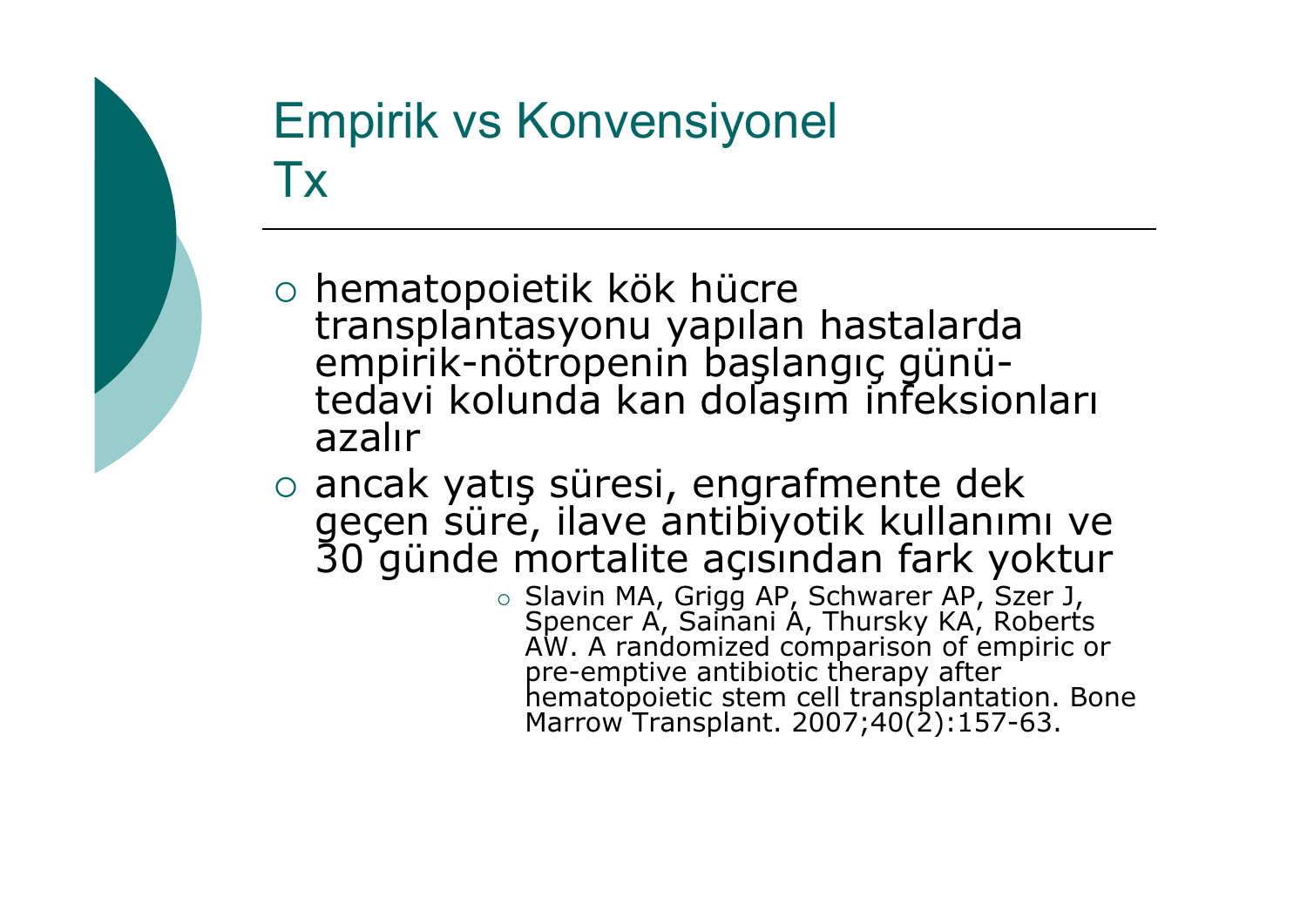### Empirik vs Konvensiyonel Tx

- o hematopoietik kök hücre hematopoietik kök hücre transplantasyonu yapılan hastalarda empirik-nötropenin ba empirik-nötropenin başlangıç günü-<br>tedavi kolunda kan dolaşım infeksio tedavi kolunda kan dolaşım infeksionları<br>azalır
- o ancak yatış süresi, engrafmente dek geçen süre, ilave antibiyotik kullanımı ve<br>30 günde mortalite açısından fark yoktur
	- { Slavin MA, Grigg AP, Schwarer AP, Szer J, Spencer A, Sainani A, Thursky KA, Roberts AW. A randomized comparison of empiric or pre-emptive antibiotic therapy after<br>hematopoietic stem cell transplantation. Bone<br>Marrow Transplant. 2007;40(2):157-63.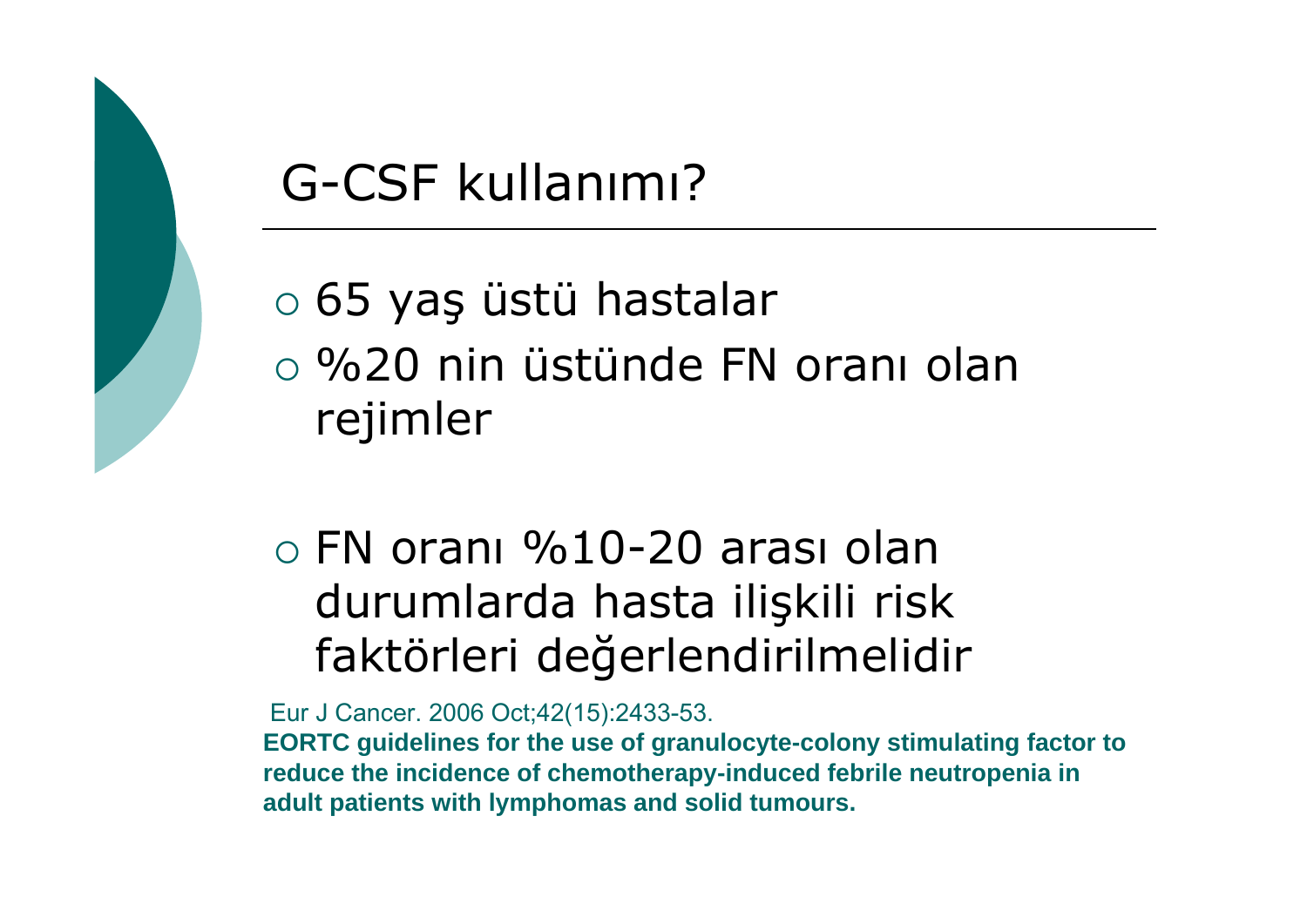### G-CSF kullanımı?

{ 65 ya ş üstü hastalar  $\circ$  %20 nin üstünde FN oranı olan rejimler

 $\circ$  FN oranı %10-20 arası olan durumlarda hasta ili şkili risk faktörleri de ğerlendirilmelidir

Eur J Cancer. 2006 Oct;42(15):2433-53.

**EORTC guidelines for the use of granulocyte-colony stimulating factor to reduce the incidence of chemotherapy-induced febrile neutropenia in adult patients with lymphomas and solid tumours.**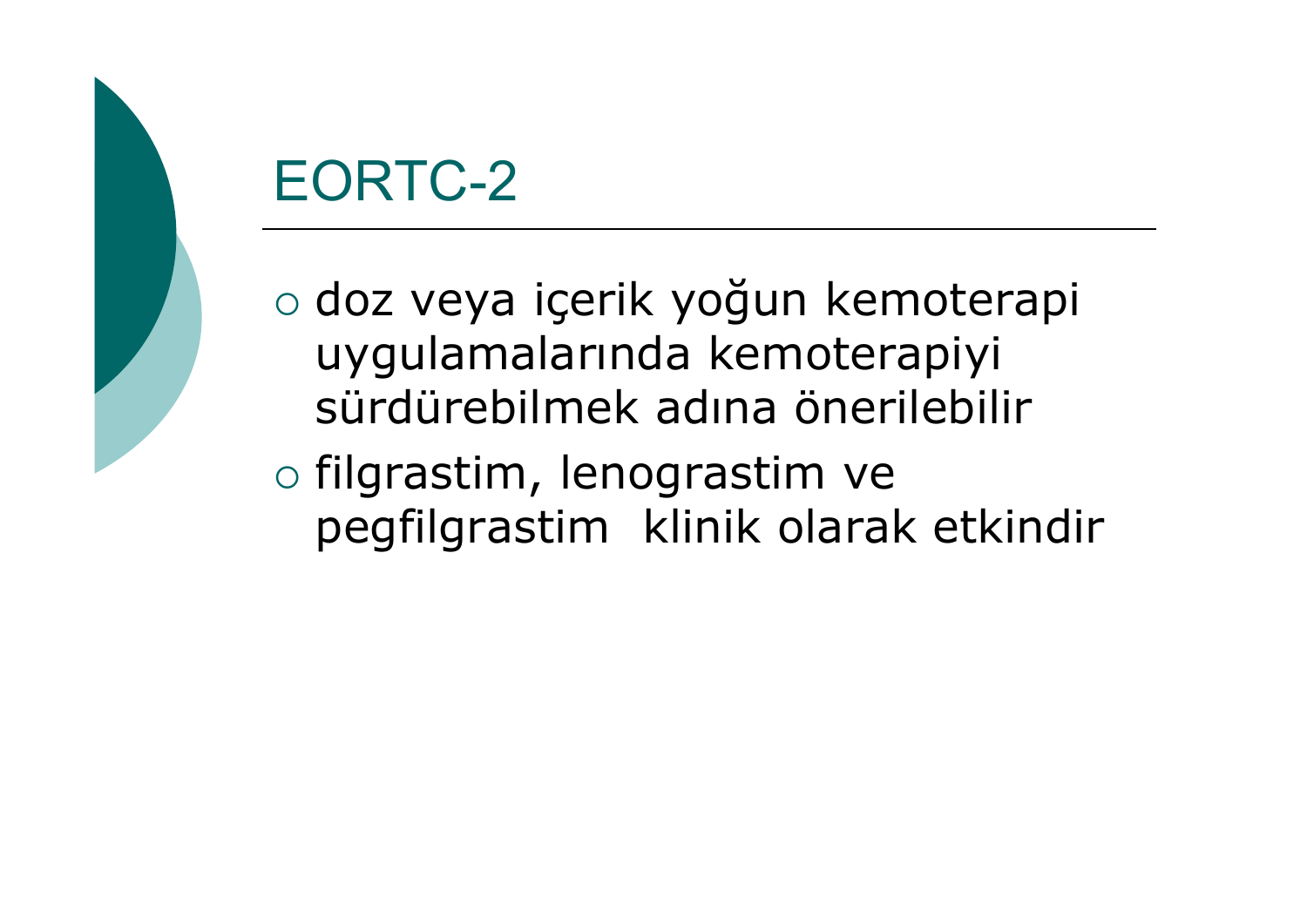### EORTC-2

o doz veya içerik yoğun kemoterapi uygulamalarında kemoterapiyi sürdürebilmek adına önerilebilir

 $\circ$  filgrastim, lenograstim ve pegfilgrastim klinik olarak etkindir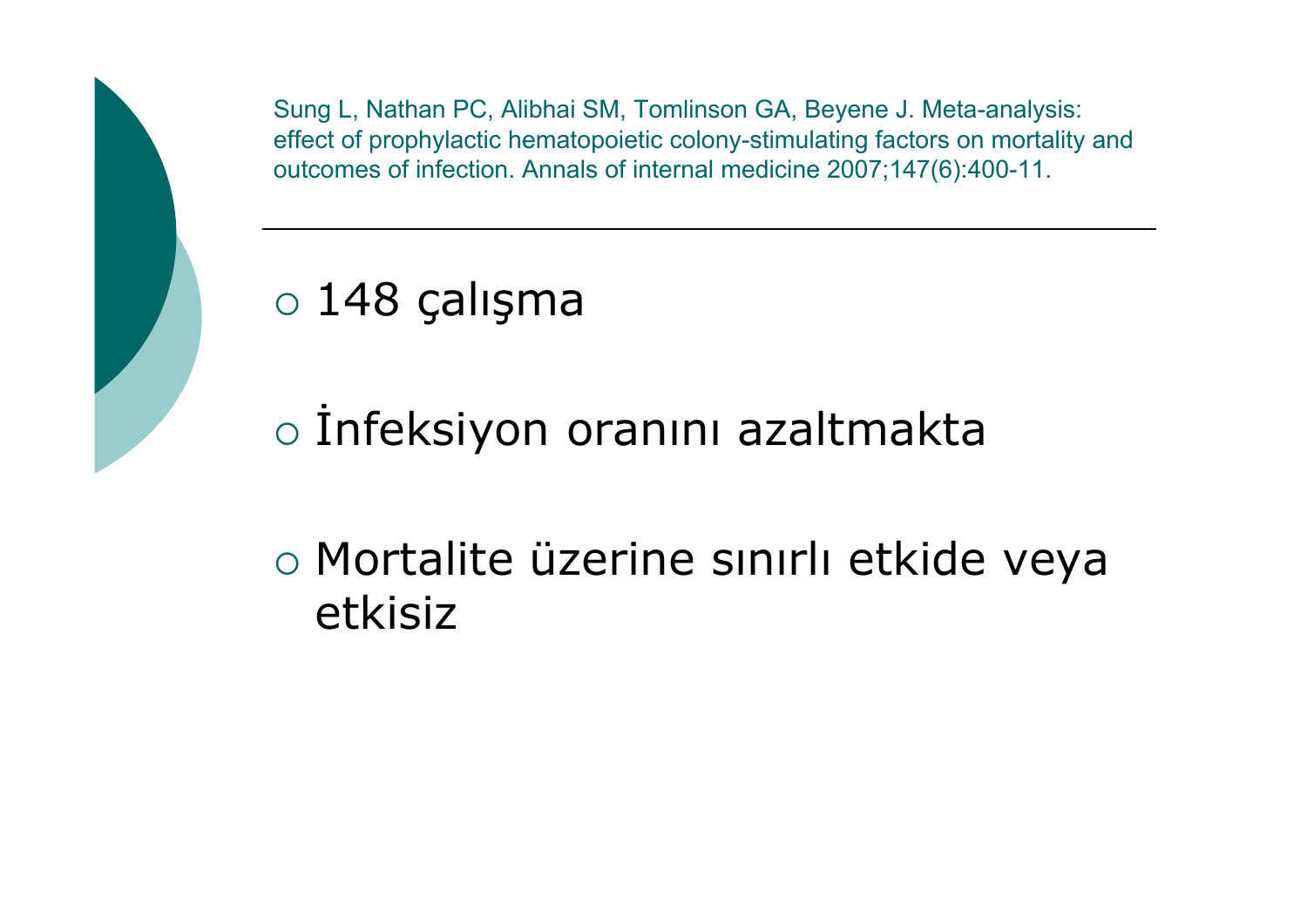Sung L, Nathan PC, Alibhai SM, Tomlinson GA, Beyene J. Meta-analysis: effect of prophylactic hematopoietic colony-stimulating factors on mortality and outcomes of infection. Annals of internal medicine 2007;147(6):400-11.

### ${\circ}$  148 çalışma

o İnfeksiyon oranını azaltmakta

o Mortalite üzerine sınırlı etkide veya etkisiz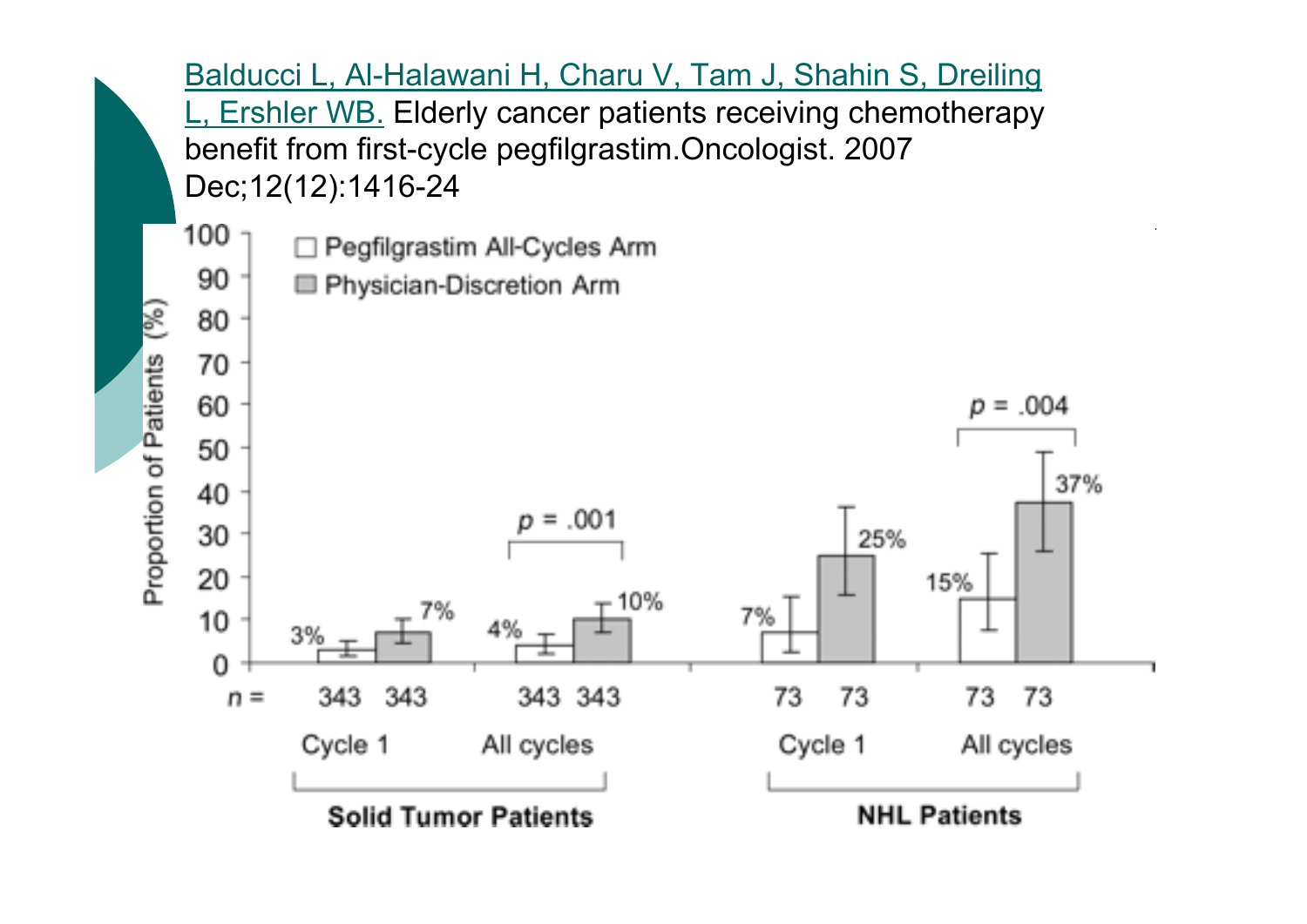Balducci L, Al-Halawani H, Charu V, Tam J, Shahin S, Dreiling Ershler WB. Elderly cancer patients receiving chemotherapy benefit from first-cycle pegfilgrastim.Oncologist. 2007 Dec;12(12):1416-24



Se) Proportion of Patients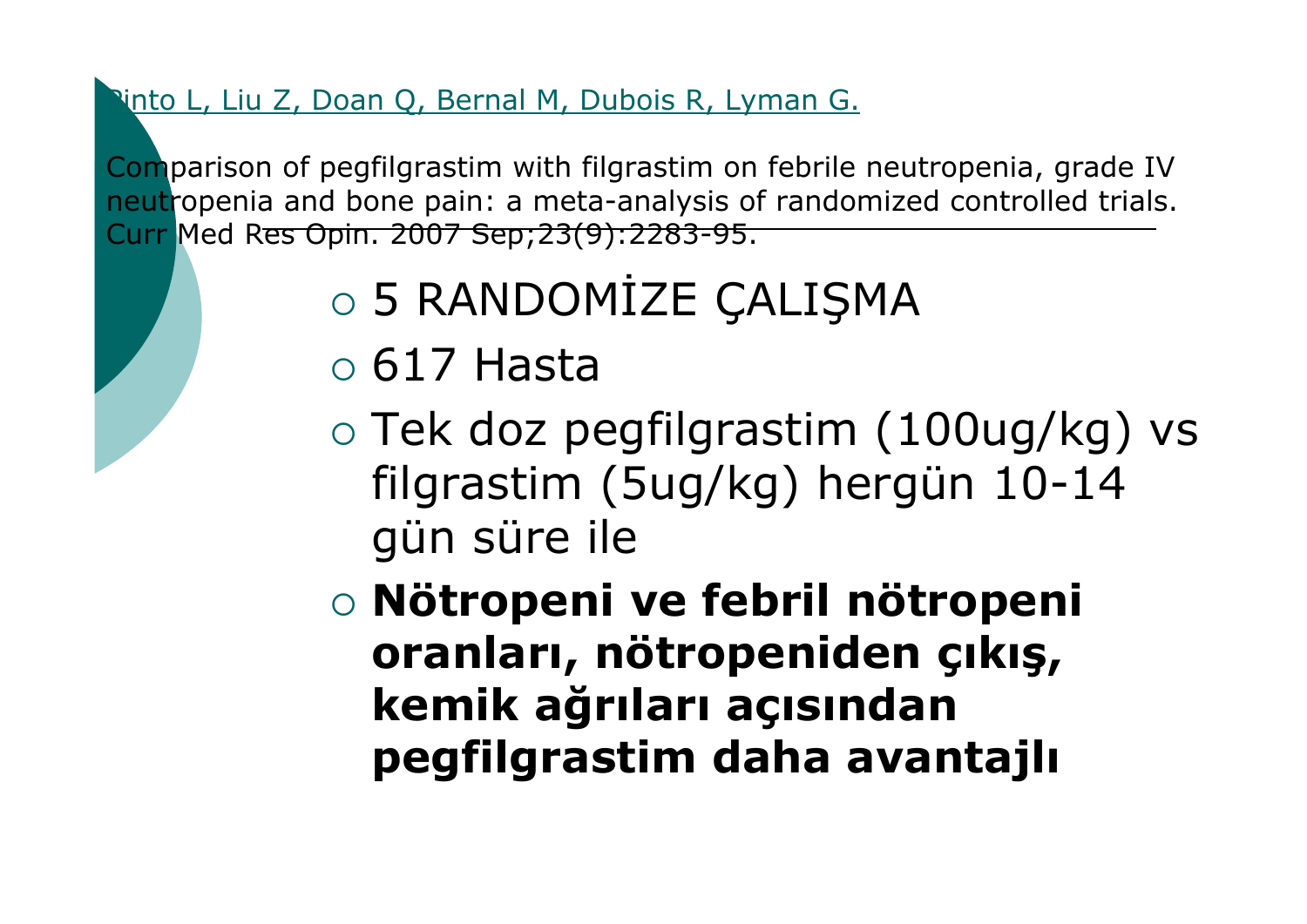Pinto L, Liu Z, Doan Q, Bernal M, Dubois R, Lyman G.

Comparison of pegfilgrastim with filgrastim on febrile neutropenia, grade IV neutropenia and bone pain: a meta-analysis of randomized controlled trials. Curr Med Res Opin. 2007 Sep;23(9):2283-95.

- o 5 RANDOMİZE ÇALIŞMA
- ${\circ}$  617 Hasta
- $\circ$  Tek doz pegfilgrastim (100ug/kg) vs filgrastim (5ug/kg) hergün 10-14 gün süre ile

{ **Nötropeni ve febril nötropeni oranları, nötropeniden çıkış, kemik ağrıları açısından pegfilgrastim daha avantajlı**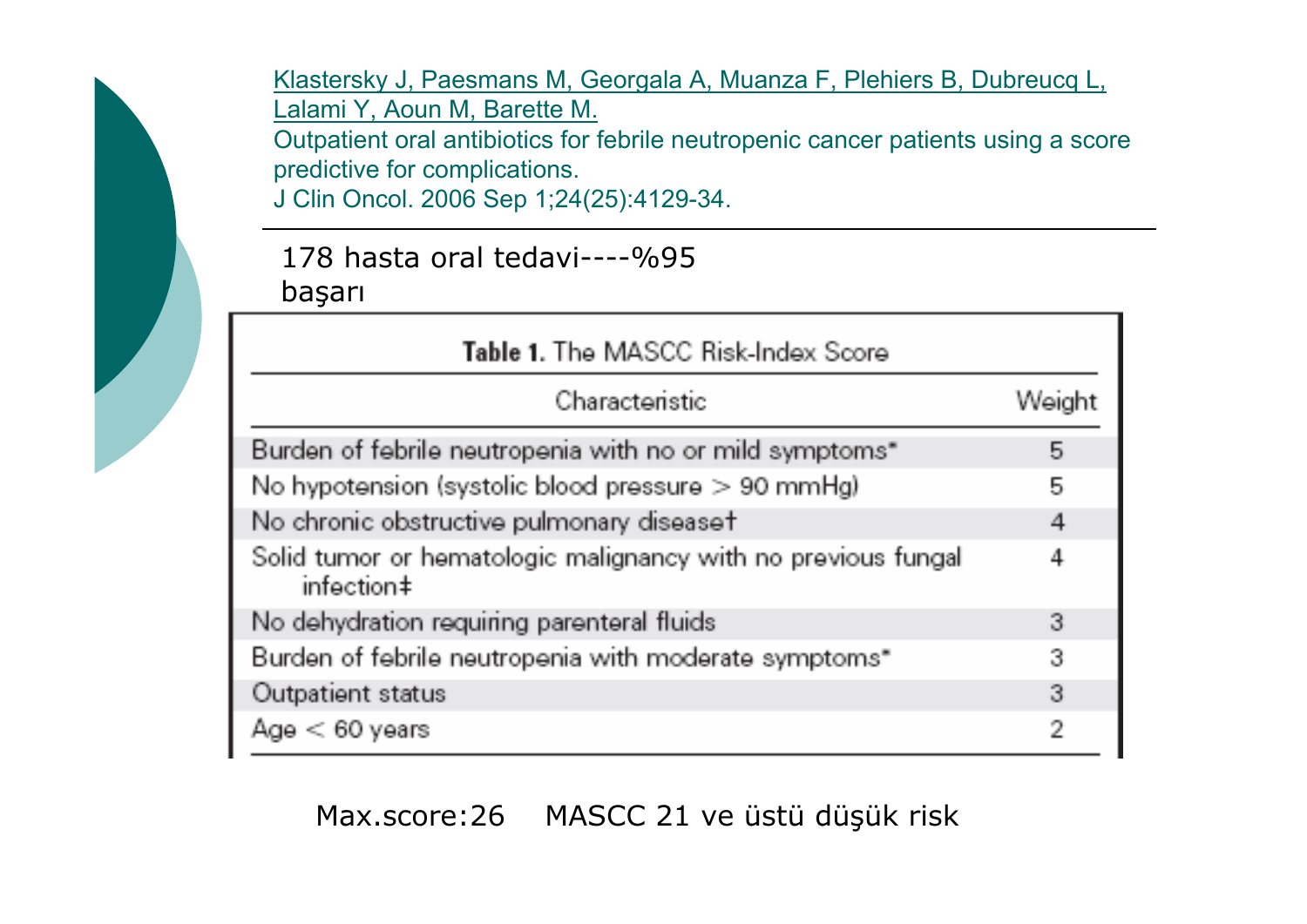Klastersky J, Paesmans [M, Georgala](http://www.ncbi.nlm.nih.gov/pubmed/16943529?ordinalpos=10&itool=EntrezSystem2.PEntrez.Pubmed.Pubmed_ResultsPanel.Pubmed_RVDocSum) A, Muanza F, Plehiers B, Dubreucq L, Lalami Y, Aoun [M, Barette M.](http://www.ncbi.nlm.nih.gov/pubmed/16943529?ordinalpos=10&itool=EntrezSystem2.PEntrez.Pubmed.Pubmed_ResultsPanel.Pubmed_RVDocSum)

Outpatient oral antibiotics for febrile neutropenic cancer patients using a score predictive for complications.

J Clin Oncol. 2006 Sep 1;24(25):4129-34.

#### 178 hasta oral tedavi----%95 ba şarı

| Table 1. The MASCC Risk-Index Score                                         |        |
|-----------------------------------------------------------------------------|--------|
| Characteristic                                                              | Weight |
| Burden of febrile neutropenia with no or mild symptoms"                     | 5      |
| No hypotension (systolic blood pressure > 90 mmHg)                          | 5      |
| No chronic obstructive pulmonary diseaset                                   | 4      |
| Solid tumor or hematologic malignancy with no previous fungal<br>infection‡ | 4      |
| No dehydration requiring parenteral fluids                                  | 3      |
| Burden of febrile neutropenia with moderate symptoms"                       | 3      |
| Outpatient status                                                           | 3      |
| Age < 60 years                                                              | 2      |

#### Max.score:26 MASCC 21 ve üstü dü şük risk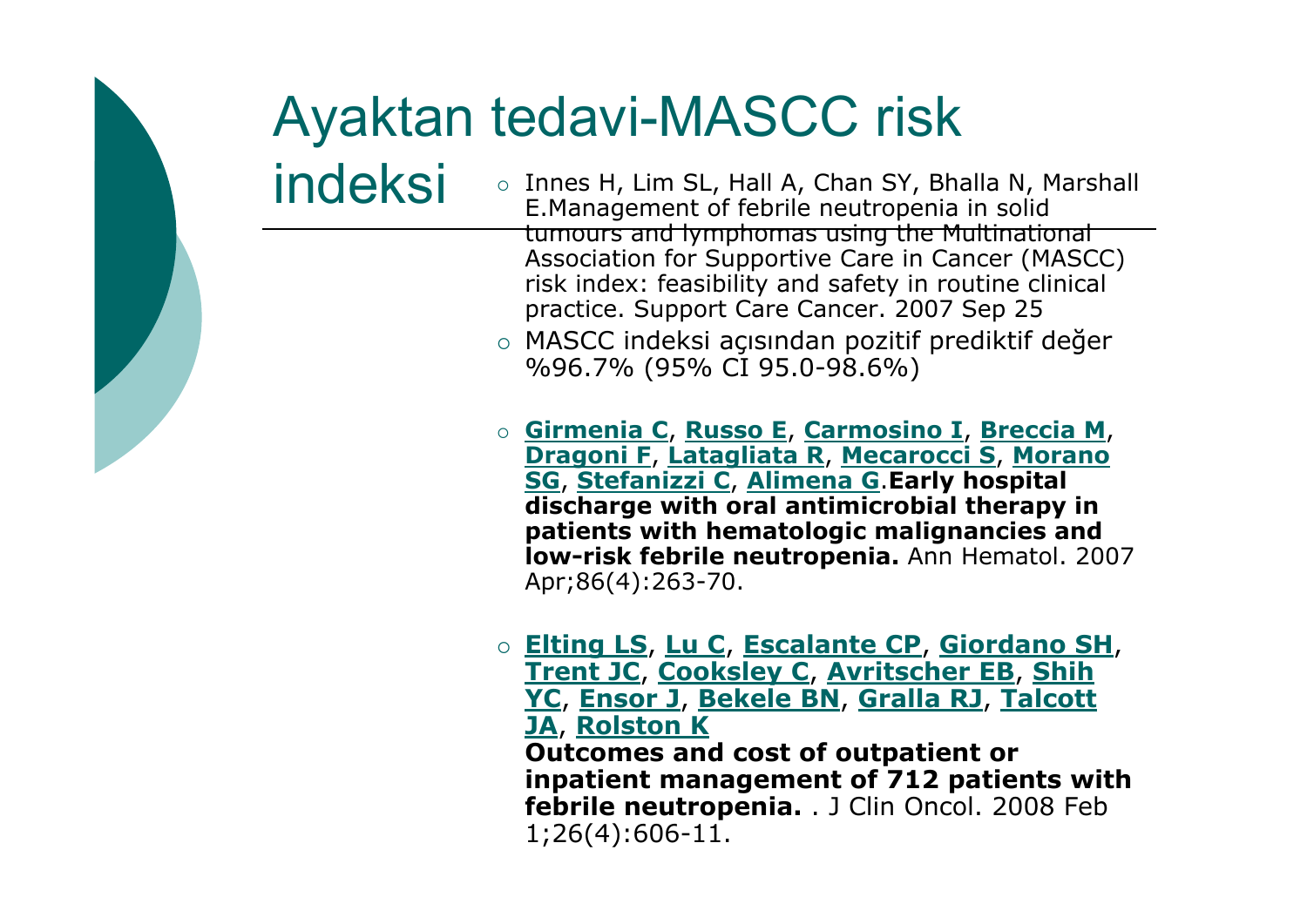### **Ayaktan tedavi-MASCC risk** indeksi

- Innes H, Lim SL, Hall A, Chan SY, Bhalla N, Marshall E. Management of febrile neutropenia in solid tumours and lymphomas using the Multinational Association for Supportive Care in Cancer (MASCC) risk index: feasibility and safety in routine clinical practice. Support Care Cancer. 2007 Sep 25
- MASCC indeksi açısından pozitif prediktif değer %96.7% (95% CI 95.0-98.6%)
- Girmenia C, Russo E, Carmosino I, Breccia M, Dragoni F, Latagliata R, Mecarocci S, Morano SG, Stefanizzi C, Alimena G Early hospital discharge with oral antimicrobial therapy in patients with hematologic malignancies and **Iow-risk febrile neutropenia.** Ann Hematol, 2007 Apr:86(4):263-70.
- Elting LS, Lu C, Escalante CP, Giordano SH, **Trent JC, Cooksley C, Avritscher EB, Shih** YC, Ensor J, Bekele BN, Gralla RJ, Talcott **JA, Rolston K Outcomes and cost of outpatient or** inpatient management of 712 patients with febrile neutropenia. . J Clin Oncol. 2008 Feb  $1;26(4):606-11.$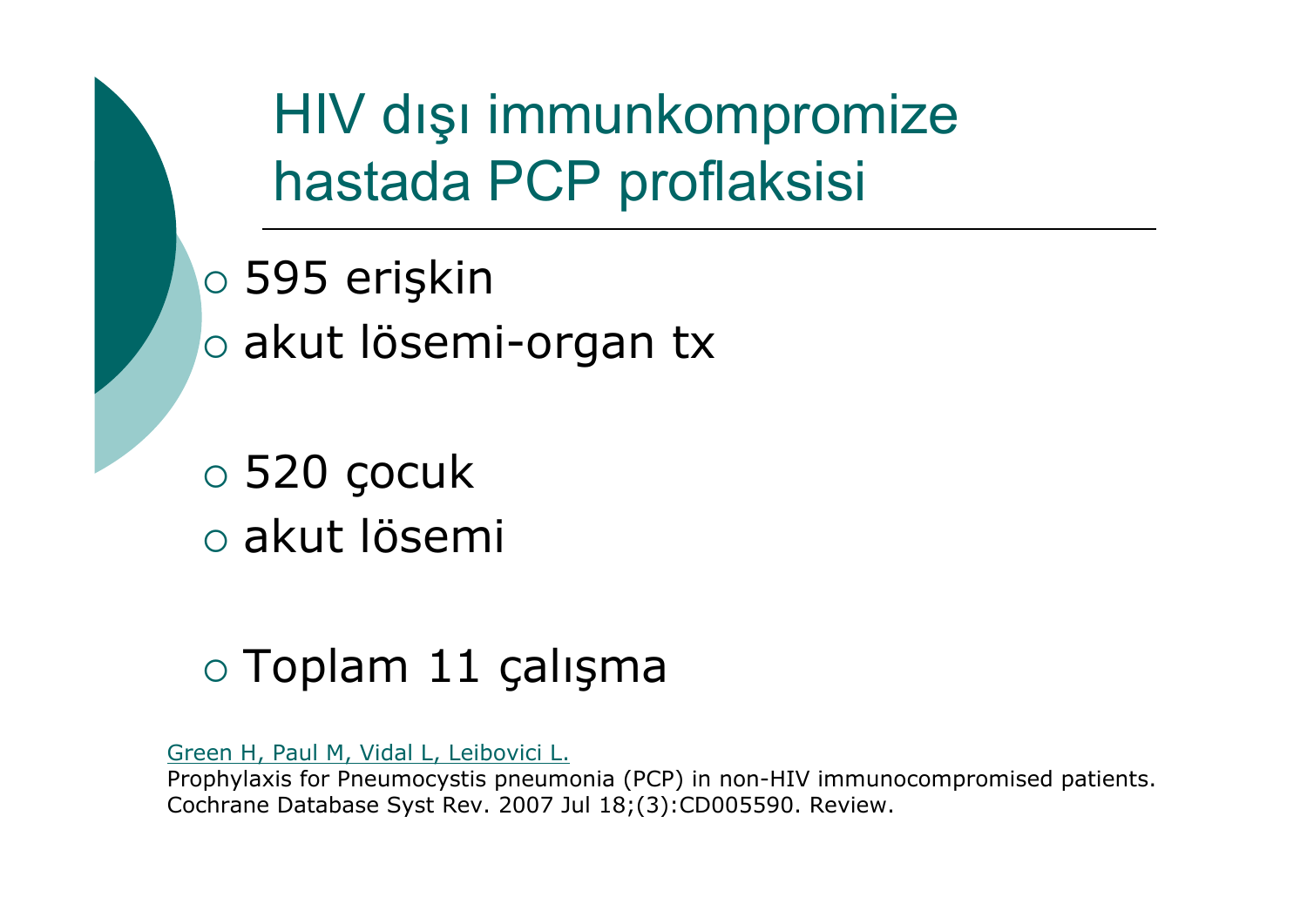HIV dış<sup>ı</sup> immunkompromize hastada PCP proflaksisi

- $\circ$  595 erişkin
- o akut lösemi-organ tx

 $\circ$  520 çocuk { akut lösemi

### o Toplam 11 çalışma

Green [H, Paul M, Vidal](http://www.ncbi.nlm.nih.gov/pubmed/17636808?ordinalpos=13&itool=EntrezSystem2.PEntrez.Pubmed.Pubmed_ResultsPanel.Pubmed_RVDocSum) L, Leibovici L.

Prophylaxis for Pneumocystis pneumonia (PCP) in non-HIV immunocompromised patients. Cochrane Database Syst Rev. 2007 Jul 18;(3):CD005590. Review.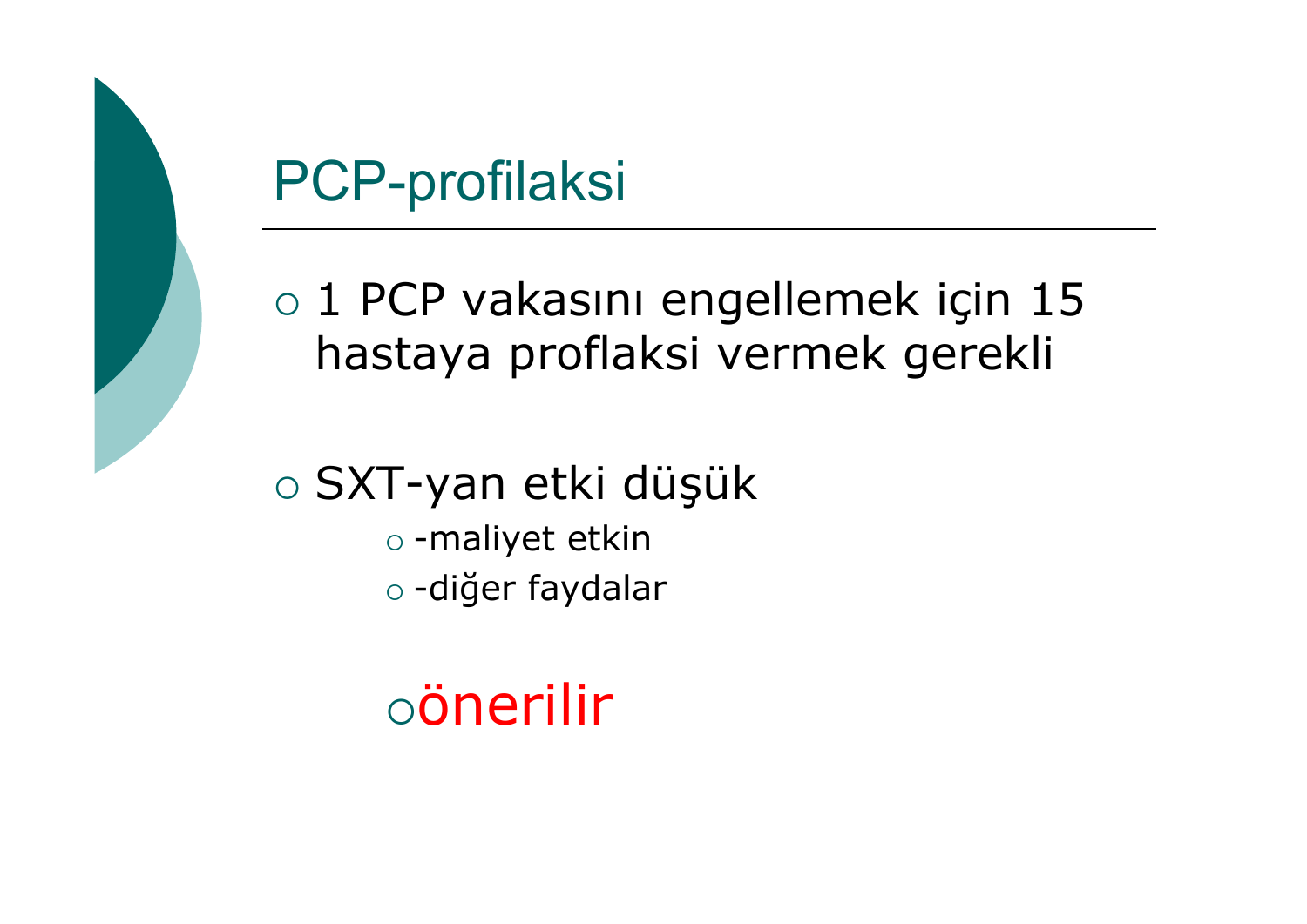

o 1 PCP vakasını engellemek için 15 hastaya proflaksi vermek gerekli

 $\circ$  SXT-yan etki düşük  $\circ$  -maliyet etkin o -diğer faydalar

 $\circ$ önerilir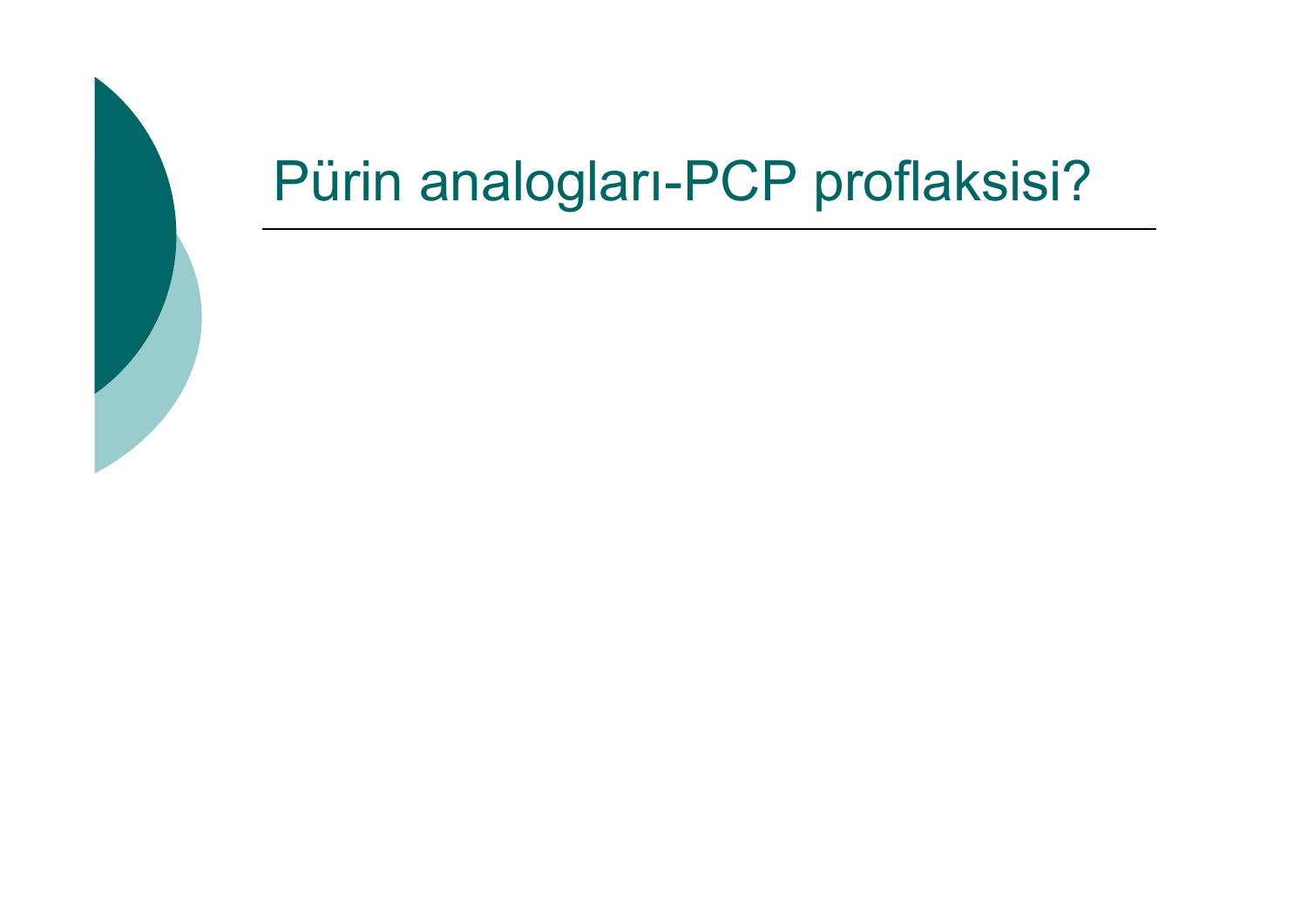### Pürin analogları-PCP proflaksisi?